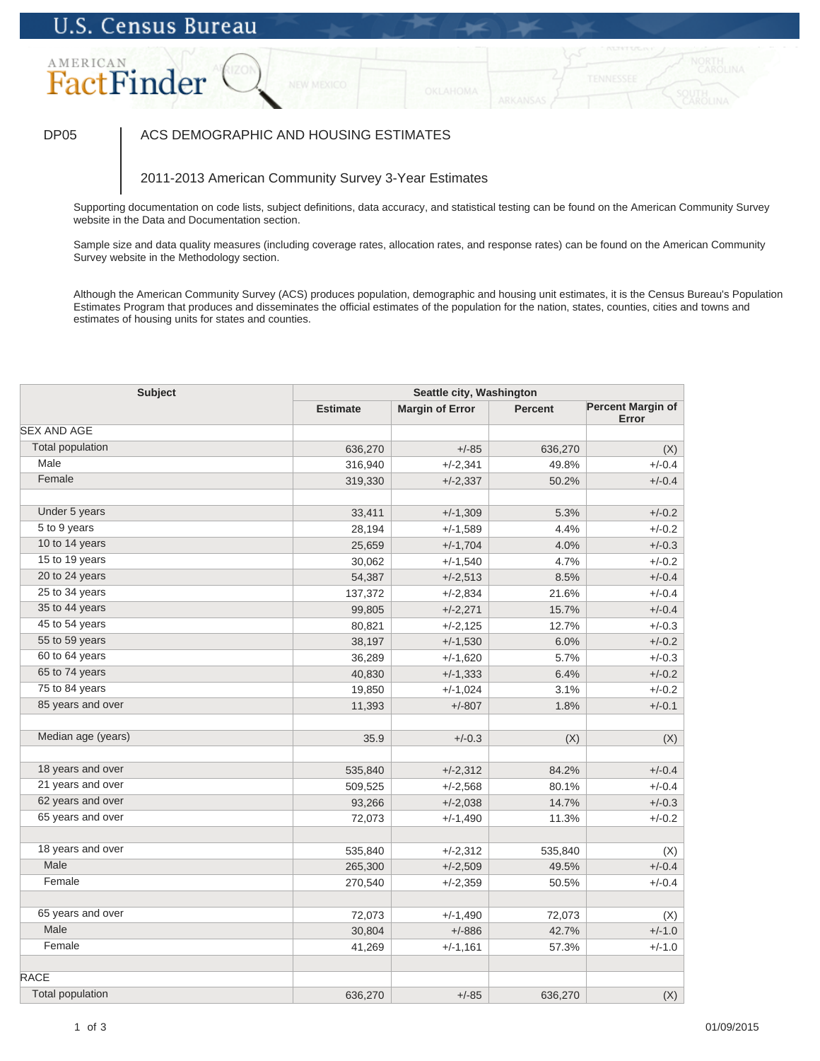# AMERICAN FactFinder

## DP05 | ACS DEMOGRAPHIC AND HOUSING ESTIMATES

## 2011-2013 American Community Survey 3-Year Estimates

Supporting documentation on code lists, subject definitions, data accuracy, and statistical testing can be found on the American Community Survey website in the Data and Documentation section.

Sample size and data quality measures (including coverage rates, allocation rates, and response rates) can be found on the American Community Survey website in the Methodology section.

| Subject                 |                 | Seattle city, Washington |         |                                   |  |
|-------------------------|-----------------|--------------------------|---------|-----------------------------------|--|
|                         | <b>Estimate</b> | <b>Margin of Error</b>   | Percent | <b>Percent Margin of</b><br>Error |  |
| <b>SEX AND AGE</b>      |                 |                          |         |                                   |  |
| <b>Total population</b> | 636,270         | $+/-85$                  | 636,270 | (X)                               |  |
| Male                    | 316,940         | $+/-2,341$               | 49.8%   | $+/-0.4$                          |  |
| Female                  | 319,330         | $+/-2,337$               | 50.2%   | $+/-0.4$                          |  |
| Under 5 years           | 33,411          | $+/-1,309$               | 5.3%    | $+/-0.2$                          |  |
| 5 to 9 years            | 28,194          | $+/-1,589$               | 4.4%    | $+/-0.2$                          |  |
| 10 to 14 years          | 25,659          | $+/-1,704$               | 4.0%    | $+/-0.3$                          |  |
| 15 to 19 years          | 30,062          | $+/-1,540$               | 4.7%    | $+/-0.2$                          |  |
| 20 to 24 years          | 54,387          | $+/-2,513$               | 8.5%    | $+/-0.4$                          |  |
| 25 to 34 years          | 137,372         | $+/-2,834$               | 21.6%   | $+/-0.4$                          |  |
| 35 to 44 years          | 99,805          | $+/-2,271$               | 15.7%   | $+/-0.4$                          |  |
| 45 to 54 years          | 80,821          | $+/-2,125$               | 12.7%   | $+/-0.3$                          |  |
| 55 to 59 years          | 38,197          | $+/-1,530$               | 6.0%    | $+/-0.2$                          |  |
| 60 to 64 years          | 36,289          | $+/-1,620$               | 5.7%    | $+/-0.3$                          |  |
| 65 to 74 years          | 40,830          | $+/-1,333$               | 6.4%    | $+/-0.2$                          |  |
| 75 to 84 years          | 19,850          | $+/-1,024$               | 3.1%    | $+/-0.2$                          |  |
| 85 years and over       | 11,393          | $+/-807$                 | 1.8%    | $+/-0.1$                          |  |
|                         |                 |                          |         |                                   |  |
| Median age (years)      | 35.9            | $+/-0.3$                 | (X)     | (X)                               |  |
| 18 years and over       | 535,840         | $+/-2,312$               | 84.2%   | $+/-0.4$                          |  |
| 21 years and over       | 509,525         | $+/-2,568$               | 80.1%   | $+/-0.4$                          |  |
| 62 years and over       | 93,266          | $+/-2,038$               | 14.7%   | $+/-0.3$                          |  |
| 65 years and over       | 72,073          | $+/-1,490$               | 11.3%   | $+/-0.2$                          |  |
|                         |                 |                          |         |                                   |  |
| 18 years and over       | 535,840         | $+/-2,312$               | 535,840 | (X)                               |  |
| Male                    | 265,300         | $+/-2,509$               | 49.5%   | $+/-0.4$                          |  |
| Female                  | 270,540         | $+/-2,359$               | 50.5%   | $+/-0.4$                          |  |
| 65 years and over       | 72,073          | $+/-1,490$               | 72,073  | (X)                               |  |
| Male                    | 30,804          | $+/-886$                 | 42.7%   | $+/-1.0$                          |  |
| Female                  | 41,269          | $+/-1,161$               | 57.3%   | $+/-1.0$                          |  |
| <b>RACE</b>             |                 |                          |         |                                   |  |
| <b>Total population</b> | 636,270         | $+/-85$                  | 636,270 | (X)                               |  |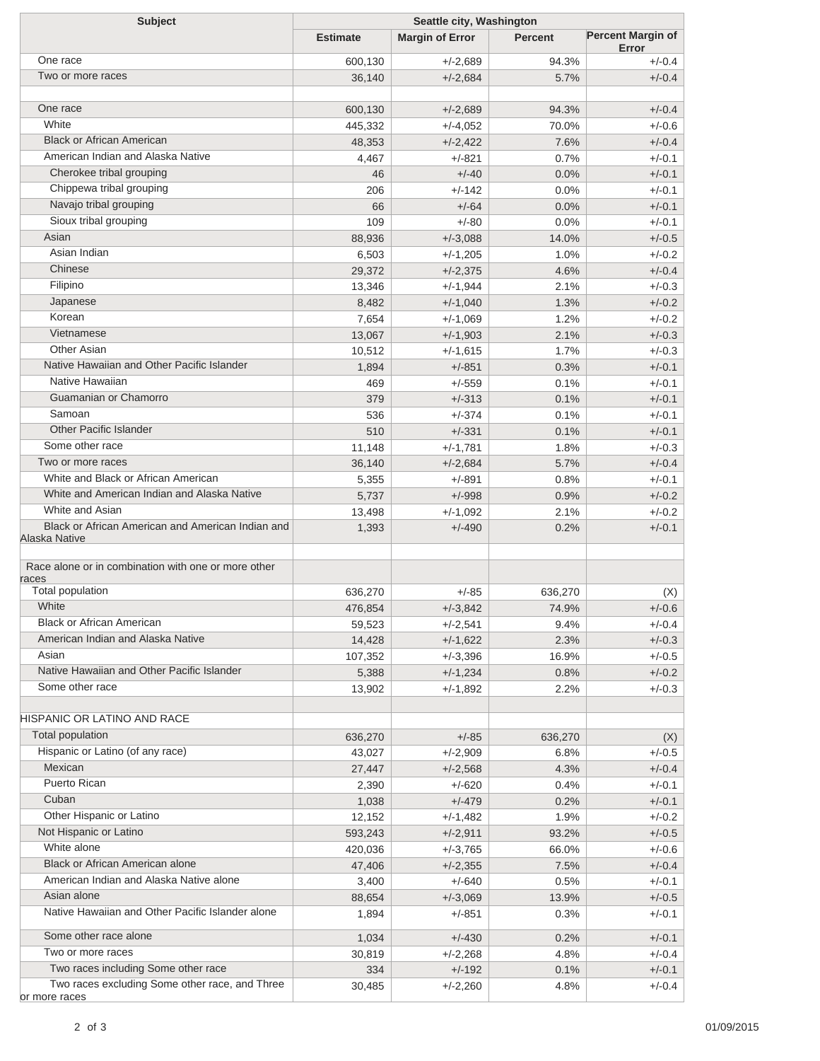| <b>Subject</b>                                      | Seattle city, Washington |                        |                |                                   |  |
|-----------------------------------------------------|--------------------------|------------------------|----------------|-----------------------------------|--|
|                                                     | <b>Estimate</b>          | <b>Margin of Error</b> | <b>Percent</b> | <b>Percent Margin of</b><br>Error |  |
| One race                                            | 600,130                  | $+/-2,689$             | 94.3%          | $+/-0.4$                          |  |
| Two or more races                                   | 36,140                   | $+/-2,684$             | 5.7%           | $+/-0.4$                          |  |
|                                                     |                          |                        |                |                                   |  |
| One race                                            | 600,130                  | $+/-2,689$             | 94.3%          | $+/-0.4$                          |  |
| White                                               | 445,332                  | $+/-4,052$             | 70.0%          | $+/-0.6$                          |  |
| <b>Black or African American</b>                    | 48,353                   | $+/-2,422$             | 7.6%           | $+/-0.4$                          |  |
| American Indian and Alaska Native                   | 4,467                    | $+/-821$               | 0.7%           | $+/-0.1$                          |  |
| Cherokee tribal grouping                            | 46                       | $+/-40$                | 0.0%           | $+/-0.1$                          |  |
| Chippewa tribal grouping                            | 206                      | $+/-142$               | 0.0%           | $+/-0.1$                          |  |
| Navajo tribal grouping                              | 66                       | $+/-64$                | 0.0%           | $+/-0.1$                          |  |
| Sioux tribal grouping                               | 109                      | $+/-80$                | 0.0%           | $+/-0.1$                          |  |
| Asian                                               | 88,936                   | $+/-3,088$             | 14.0%          | $+/-0.5$                          |  |
| Asian Indian                                        | 6,503                    | $+/-1,205$             | 1.0%           | $+/-0.2$                          |  |
| Chinese                                             | 29,372                   | $+/-2,375$             | 4.6%           | $+/-0.4$                          |  |
| Filipino                                            | 13,346                   | $+/-1,944$             | 2.1%           | $+/-0.3$                          |  |
| Japanese                                            | 8,482                    | $+/-1,040$             | 1.3%           | $+/-0.2$                          |  |
| Korean                                              | 7,654                    | $+/-1,069$             | 1.2%           | $+/-0.2$                          |  |
| Vietnamese                                          | 13,067                   | $+/-1,903$             | 2.1%           | $+/-0.3$                          |  |
| Other Asian                                         | 10,512                   | $+/-1,615$             | 1.7%           | $+/-0.3$                          |  |
| Native Hawaiian and Other Pacific Islander          | 1,894                    | $+/-851$               | 0.3%           | $+/-0.1$                          |  |
| Native Hawaiian                                     | 469                      | $+/-559$               | 0.1%           | $+/-0.1$                          |  |
| Guamanian or Chamorro                               | 379                      | $+/-313$               | 0.1%           | $+/-0.1$                          |  |
| Samoan                                              | 536                      | $+/-374$               | 0.1%           | $+/-0.1$                          |  |
| <b>Other Pacific Islander</b>                       | 510                      | $+/-331$               | 0.1%           | $+/-0.1$                          |  |
| Some other race                                     | 11,148                   | $+/-1,781$             | 1.8%           | $+/-0.3$                          |  |
| Two or more races                                   | 36,140                   | $+/-2,684$             | 5.7%           | $+/-0.4$                          |  |
| White and Black or African American                 | 5,355                    | $+/-891$               | 0.8%           | $+/-0.1$                          |  |
| White and American Indian and Alaska Native         | 5,737                    | $+/-998$               | 0.9%           | $+/-0.2$                          |  |
| White and Asian                                     | 13,498                   | $+/-1,092$             | 2.1%           | $+/-0.2$                          |  |
| Black or African American and American Indian and   | 1,393                    | $+/-490$               | 0.2%           | $+/-0.1$                          |  |
| Alaska Native                                       |                          |                        |                |                                   |  |
| Race alone or in combination with one or more other |                          |                        |                |                                   |  |
| races<br>Total population                           | 636,270                  | $+/-85$                | 636,270        |                                   |  |
| White                                               | 476,854                  | $+/-3,842$             | 74.9%          | (X)<br>$+/-0.6$                   |  |
| <b>Black or African American</b>                    | 59,523                   | $+/-2,541$             | 9.4%           | $+/-0.4$                          |  |
| American Indian and Alaska Native                   | 14,428                   | $+/-1,622$             | 2.3%           | $+/-0.3$                          |  |
| Asian                                               | 107,352                  | $+/-3,396$             | 16.9%          | $+/-0.5$                          |  |
| Native Hawaiian and Other Pacific Islander          | 5,388                    | $+/-1,234$             | 0.8%           | $+/-0.2$                          |  |
| Some other race                                     | 13,902                   | $+/-1,892$             | 2.2%           | $+/-0.3$                          |  |
|                                                     |                          |                        |                |                                   |  |
| <b>HISPANIC OR LATINO AND RACE</b>                  |                          |                        |                |                                   |  |
| Total population                                    | 636,270                  | $+/-85$                | 636,270        | (X)                               |  |
| Hispanic or Latino (of any race)                    | 43,027                   | $+/-2,909$             | 6.8%           | $+/-0.5$                          |  |
| Mexican                                             | 27,447                   | $+/-2,568$             | 4.3%           | $+/-0.4$                          |  |
| Puerto Rican                                        | 2,390                    | $+/-620$               | 0.4%           | $+/-0.1$                          |  |
| Cuban                                               | 1,038                    | $+/-479$               | 0.2%           | $+/-0.1$                          |  |
| Other Hispanic or Latino                            | 12,152                   | $+/-1,482$             | 1.9%           | $+/-0.2$                          |  |
| Not Hispanic or Latino                              | 593,243                  | $+/-2,911$             | 93.2%          | $+/-0.5$                          |  |
| White alone                                         | 420,036                  | $+/-3,765$             | 66.0%          | $+/-0.6$                          |  |
| <b>Black or African American alone</b>              | 47,406                   | $+/-2,355$             | 7.5%           | $+/-0.4$                          |  |
| American Indian and Alaska Native alone             | 3,400                    | $+/-640$               | 0.5%           | $+/-0.1$                          |  |
| Asian alone                                         | 88,654                   | $+/-3,069$             | 13.9%          | $+/-0.5$                          |  |
| Native Hawaiian and Other Pacific Islander alone    | 1,894                    | $+/-851$               | 0.3%           | $+/-0.1$                          |  |
| Some other race alone                               | 1,034                    | $+/-430$               | 0.2%           | $+/-0.1$                          |  |
| Two or more races                                   | 30,819                   | $+/-2,268$             | 4.8%           | $+/-0.4$                          |  |
| Two races including Some other race                 | 334                      | $+/-192$               | 0.1%           | $+/-0.1$                          |  |
| Two races excluding Some other race, and Three      | 30,485                   | $+/-2,260$             | 4.8%           | $+/-0.4$                          |  |
| or more races                                       |                          |                        |                |                                   |  |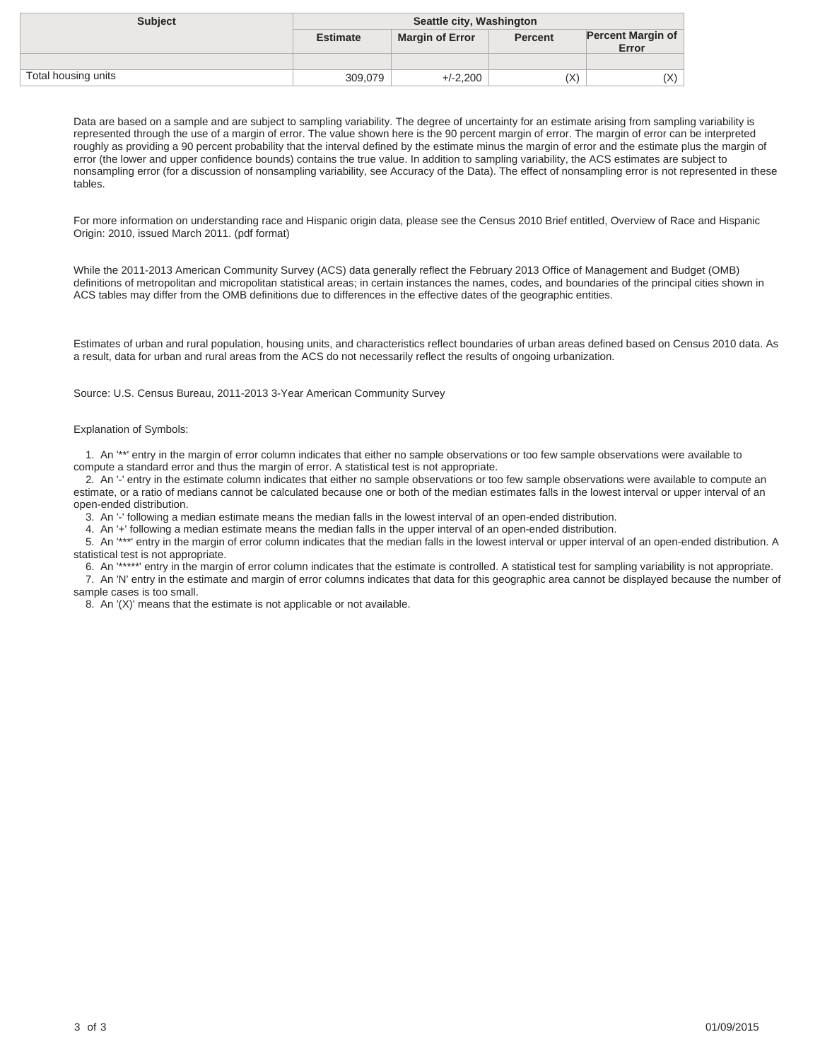| <b>Subject</b>      | Seattle city, Washington |                        |                |                                   |
|---------------------|--------------------------|------------------------|----------------|-----------------------------------|
|                     | <b>Estimate</b>          | <b>Margin of Error</b> | <b>Percent</b> | <b>Percent Margin of</b><br>Error |
|                     |                          |                        |                |                                   |
| Total housing units | 309,079                  | $+/-2.200$             | (X)            | (X)                               |

For more information on understanding race and Hispanic origin data, please see the Census 2010 Brief entitled, Overview of Race and Hispanic Origin: 2010, issued March 2011. (pdf format)

While the 2011-2013 American Community Survey (ACS) data generally reflect the February 2013 Office of Management and Budget (OMB) definitions of metropolitan and micropolitan statistical areas; in certain instances the names, codes, and boundaries of the principal cities shown in ACS tables may differ from the OMB definitions due to differences in the effective dates of the geographic entities.

Estimates of urban and rural population, housing units, and characteristics reflect boundaries of urban areas defined based on Census 2010 data. As a result, data for urban and rural areas from the ACS do not necessarily reflect the results of ongoing urbanization.

Source: U.S. Census Bureau, 2011-2013 3-Year American Community Survey

### Explanation of Symbols:

 1. An '\*\*' entry in the margin of error column indicates that either no sample observations or too few sample observations were available to compute a standard error and thus the margin of error. A statistical test is not appropriate.

 2. An '-' entry in the estimate column indicates that either no sample observations or too few sample observations were available to compute an estimate, or a ratio of medians cannot be calculated because one or both of the median estimates falls in the lowest interval or upper interval of an open-ended distribution.

3. An '-' following a median estimate means the median falls in the lowest interval of an open-ended distribution.

4. An '+' following a median estimate means the median falls in the upper interval of an open-ended distribution.

 5. An '\*\*\*' entry in the margin of error column indicates that the median falls in the lowest interval or upper interval of an open-ended distribution. A statistical test is not appropriate.

 6. An '\*\*\*\*\*' entry in the margin of error column indicates that the estimate is controlled. A statistical test for sampling variability is not appropriate. 7. An 'N' entry in the estimate and margin of error columns indicates that data for this geographic area cannot be displayed because the number of sample cases is too small.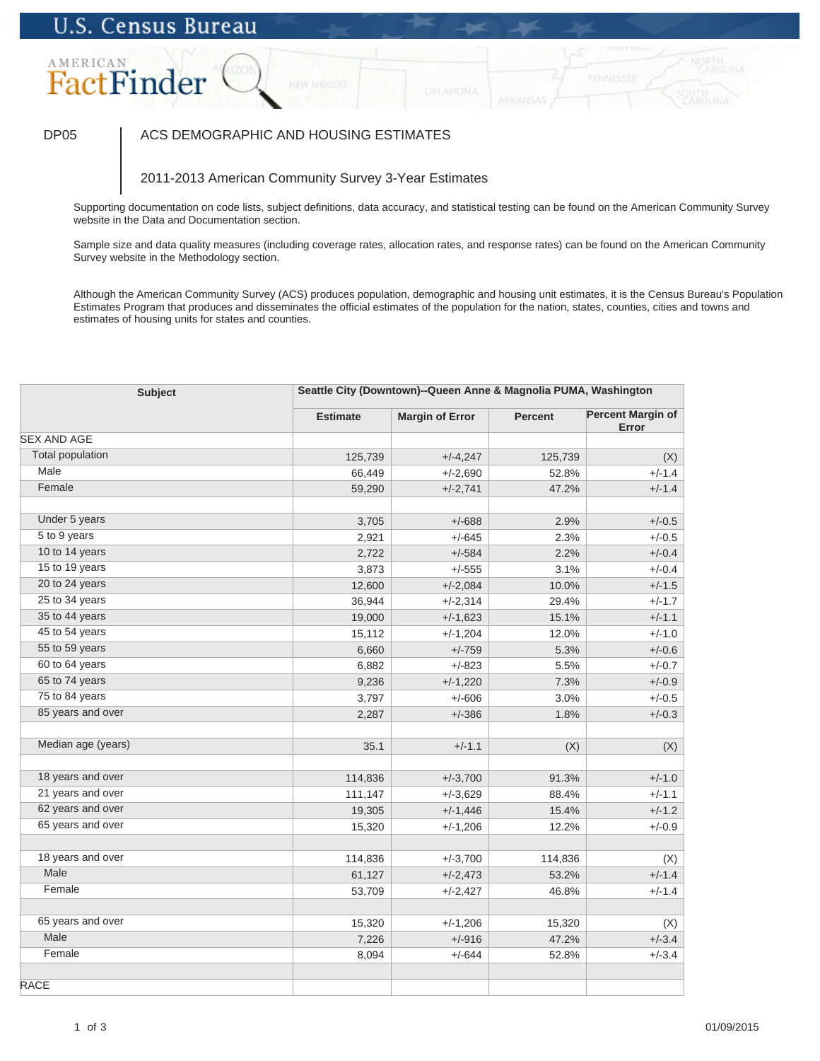# AMERICAN FactFinder

## DP05 | ACS DEMOGRAPHIC AND HOUSING ESTIMATES

## 2011-2013 American Community Survey 3-Year Estimates

Supporting documentation on code lists, subject definitions, data accuracy, and statistical testing can be found on the American Community Survey website in the Data and Documentation section.

Sample size and data quality measures (including coverage rates, allocation rates, and response rates) can be found on the American Community Survey website in the Methodology section.

| <b>Subject</b>          |                 | Seattle City (Downtown)--Queen Anne & Magnolia PUMA, Washington |                |                                   |  |
|-------------------------|-----------------|-----------------------------------------------------------------|----------------|-----------------------------------|--|
|                         | <b>Estimate</b> | <b>Margin of Error</b>                                          | <b>Percent</b> | <b>Percent Margin of</b><br>Error |  |
| <b>SEX AND AGE</b>      |                 |                                                                 |                |                                   |  |
| <b>Total population</b> | 125,739         | $+/-4,247$                                                      | 125,739        | (X)                               |  |
| Male                    | 66,449          | $+/-2,690$                                                      | 52.8%          | $+/-1.4$                          |  |
| Female                  | 59,290          | $+/-2,741$                                                      | 47.2%          | $+/-1.4$                          |  |
| Under 5 years           | 3,705           | $+/-688$                                                        | 2.9%           | $+/-0.5$                          |  |
| 5 to 9 years            | 2,921           | $+/-645$                                                        | 2.3%           | $+/-0.5$                          |  |
| 10 to 14 years          | 2,722           | $+/-584$                                                        | 2.2%           | $+/-0.4$                          |  |
| 15 to 19 years          | 3,873           | $+/-555$                                                        | 3.1%           | $+/-0.4$                          |  |
| 20 to 24 years          | 12,600          | $+/-2,084$                                                      | 10.0%          | $+/-1.5$                          |  |
| 25 to 34 years          | 36,944          | $+/-2,314$                                                      | 29.4%          | $+/-1.7$                          |  |
| 35 to 44 years          | 19,000          | $+/-1,623$                                                      | 15.1%          | $+/-1.1$                          |  |
| 45 to 54 years          | 15,112          | $+/-1,204$                                                      | 12.0%          | $+/-1.0$                          |  |
| 55 to 59 years          | 6,660           | $+/-759$                                                        | 5.3%           | $+/-0.6$                          |  |
| 60 to 64 years          | 6,882           | $+/-823$                                                        | 5.5%           | $+/-0.7$                          |  |
| 65 to 74 years          | 9,236           | $+/-1,220$                                                      | 7.3%           | $+/-0.9$                          |  |
| 75 to 84 years          | 3,797           | $+/-606$                                                        | 3.0%           | $+/-0.5$                          |  |
| 85 years and over       | 2,287           | $+/-386$                                                        | 1.8%           | $+/-0.3$                          |  |
| Median age (years)      | 35.1            | $+/-1.1$                                                        | (X)            | (X)                               |  |
| 18 years and over       | 114,836         | $+/-3,700$                                                      | 91.3%          | $+/-1.0$                          |  |
| 21 years and over       | 111,147         | $+/-3,629$                                                      | 88.4%          | $+/-1.1$                          |  |
| 62 years and over       | 19,305          | $+/-1,446$                                                      | 15.4%          | $+/-1.2$                          |  |
| 65 years and over       | 15,320          | $+/-1,206$                                                      | 12.2%          | $+/-0.9$                          |  |
|                         |                 |                                                                 |                |                                   |  |
| 18 years and over       | 114,836         | $+/-3,700$                                                      | 114,836        | (X)                               |  |
| Male                    | 61,127          | $+/-2,473$                                                      | 53.2%          | $+/-1.4$                          |  |
| Female                  | 53,709          | $+/-2,427$                                                      | 46.8%          | $+/-1.4$                          |  |
| 65 years and over       | 15,320          | $+/-1,206$                                                      | 15,320         | (X)                               |  |
| Male                    | 7,226           | $+/-916$                                                        | 47.2%          | $+/-3.4$                          |  |
| Female                  | 8,094           | $+/-644$                                                        | 52.8%          | $+/-3.4$                          |  |
| <b>RACE</b>             |                 |                                                                 |                |                                   |  |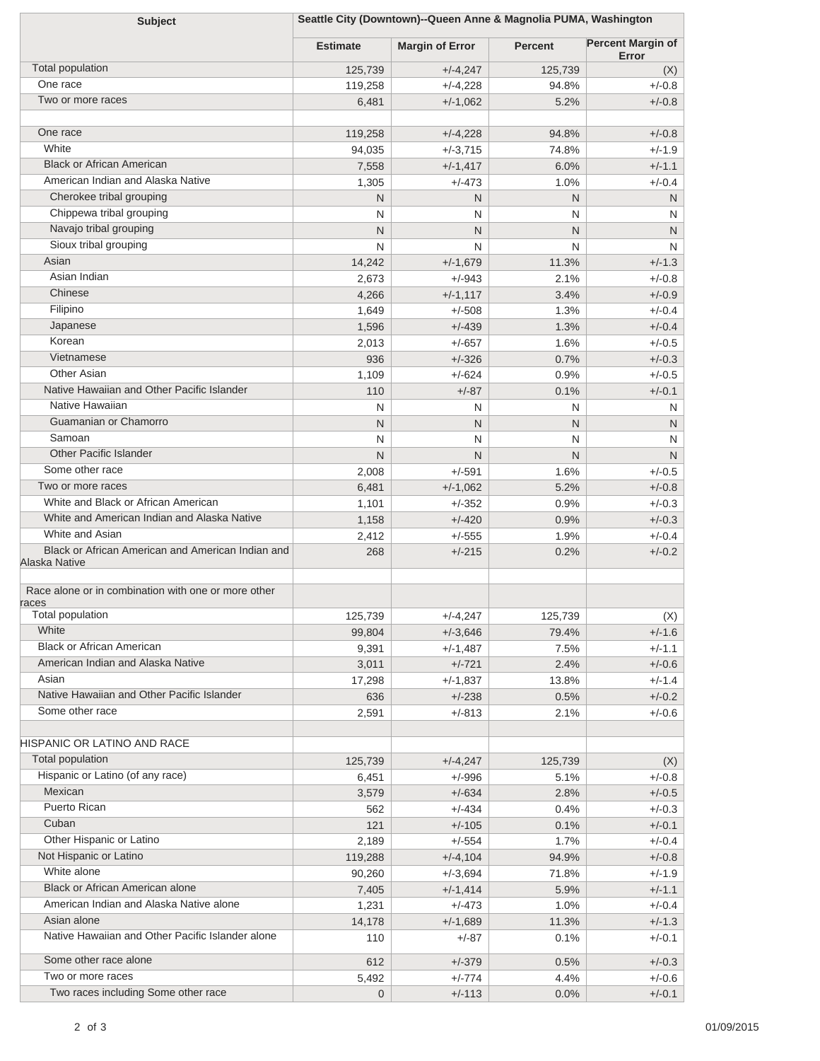| <b>Subject</b>                                               | Seattle City (Downtown)--Queen Anne & Magnolia PUMA, Washington |                        |                |                                   |
|--------------------------------------------------------------|-----------------------------------------------------------------|------------------------|----------------|-----------------------------------|
|                                                              | <b>Estimate</b>                                                 | <b>Margin of Error</b> | <b>Percent</b> | <b>Percent Margin of</b><br>Error |
| Total population                                             | 125,739                                                         | $+/-4,247$             | 125,739        | (X)                               |
| One race                                                     | 119,258                                                         | $+/-4,228$             | 94.8%          | $+/-0.8$                          |
| Two or more races                                            | 6,481                                                           | $+/-1,062$             | 5.2%           | $+/-0.8$                          |
|                                                              |                                                                 |                        |                |                                   |
| One race                                                     | 119,258                                                         | $+/-4,228$             | 94.8%          | $+/-0.8$                          |
| White                                                        | 94,035                                                          | $+/-3,715$             | 74.8%          | $+/-1.9$                          |
| <b>Black or African American</b>                             | 7,558                                                           | $+/-1,417$             | 6.0%           | $+/-1.1$                          |
| American Indian and Alaska Native                            | 1,305                                                           | $+/-473$               | 1.0%           | $+/-0.4$                          |
| Cherokee tribal grouping                                     | N                                                               | N                      | N              | N                                 |
| Chippewa tribal grouping                                     | N                                                               | N                      | N              | N                                 |
| Navajo tribal grouping                                       | N                                                               | N                      | $\mathsf{N}$   | N                                 |
| Sioux tribal grouping                                        | N                                                               | N                      | N              | N                                 |
| Asian                                                        | 14,242                                                          | $+/-1,679$             | 11.3%          | $+/-1.3$                          |
| Asian Indian                                                 | 2,673                                                           | $+/-943$               | 2.1%           | $+/-0.8$                          |
| Chinese                                                      | 4,266                                                           | $+/-1,117$             | 3.4%           | $+/-0.9$                          |
| Filipino                                                     | 1,649                                                           | $+/-508$               | 1.3%           | $+/-0.4$                          |
| Japanese                                                     | 1,596                                                           | $+/-439$               | 1.3%           | $+/-0.4$                          |
| Korean                                                       | 2,013                                                           | $+/-657$               | 1.6%           | $+/-0.5$                          |
| Vietnamese                                                   | 936                                                             | $+/-326$               | 0.7%           | $+/-0.3$                          |
| Other Asian                                                  | 1,109                                                           | $+/-624$               | 0.9%           | $+/-0.5$                          |
| Native Hawaiian and Other Pacific Islander                   | 110                                                             | $+/-87$                | 0.1%           | $+/-0.1$                          |
| Native Hawaiian                                              | N                                                               | N                      | N              | N                                 |
| Guamanian or Chamorro                                        | N                                                               | N                      | N              | N                                 |
| Samoan                                                       | N                                                               | N                      | N              | N                                 |
| <b>Other Pacific Islander</b>                                | N                                                               | N                      | N              | N                                 |
| Some other race                                              | 2,008                                                           | $+/-591$               | 1.6%           | $+/-0.5$                          |
| Two or more races<br>White and Black or African American     | 6,481                                                           | $+/-1,062$             | 5.2%           | $+/-0.8$                          |
| White and American Indian and Alaska Native                  | 1,101                                                           | $+/-352$               | 0.9%           | $+/-0.3$                          |
| White and Asian                                              | 1,158                                                           | $+/-420$               | 0.9%           | $+/-0.3$                          |
| Black or African American and American Indian and            | 2,412<br>268                                                    | $+/-555$<br>$+/-215$   | 1.9%<br>0.2%   | $+/-0.4$<br>$+/-0.2$              |
| Alaska Native                                                |                                                                 |                        |                |                                   |
| Race alone or in combination with one or more other<br>races |                                                                 |                        |                |                                   |
| Total population                                             | 125,739                                                         | +/-4,247               | 125,739        | (X)                               |
| White                                                        | 99,804                                                          | $+/-3,646$             | 79.4%          | $+/-1.6$                          |
| <b>Black or African American</b>                             | 9,391                                                           | $+/-1,487$             | 7.5%           | $+/-1.1$                          |
| American Indian and Alaska Native                            | 3,011                                                           | $+/-721$               | 2.4%           | $+/-0.6$                          |
| Asian<br>Native Hawaiian and Other Pacific Islander          | 17,298                                                          | $+/-1,837$             | 13.8%          | $+/-1.4$                          |
|                                                              | 636                                                             | $+/-238$               | 0.5%           | $+/-0.2$                          |
| Some other race                                              | 2,591                                                           | $+/-813$               | 2.1%           | $+/-0.6$                          |
| HISPANIC OR LATINO AND RACE                                  |                                                                 |                        |                |                                   |
| <b>Total population</b>                                      | 125,739                                                         | $+/-4,247$             | 125,739        |                                   |
| Hispanic or Latino (of any race)                             | 6,451                                                           | $+/-996$               | 5.1%           | (X)<br>$+/-0.8$                   |
| Mexican                                                      | 3,579                                                           | $+/-634$               | 2.8%           | $+/-0.5$                          |
| Puerto Rican                                                 | 562                                                             | $+/-434$               | 0.4%           | $+/-0.3$                          |
| Cuban                                                        | 121                                                             | $+/-105$               | 0.1%           | $+/-0.1$                          |
| Other Hispanic or Latino                                     | 2,189                                                           | $+/-554$               | 1.7%           | $+/-0.4$                          |
| Not Hispanic or Latino                                       | 119,288                                                         | $+/-4,104$             | 94.9%          | $+/-0.8$                          |
| White alone                                                  | 90,260                                                          | $+/-3,694$             | 71.8%          | $+/-1.9$                          |
| Black or African American alone                              | 7,405                                                           | $+/-1,414$             | 5.9%           | $+/-1.1$                          |
| American Indian and Alaska Native alone                      | 1,231                                                           | $+/-473$               | 1.0%           | $+/-0.4$                          |
| Asian alone                                                  | 14,178                                                          | $+/-1,689$             | 11.3%          | $+/-1.3$                          |
| Native Hawaiian and Other Pacific Islander alone             | 110                                                             | $+/-87$                | 0.1%           | $+/-0.1$                          |
| Some other race alone                                        | 612                                                             | $+/-379$               | 0.5%           | $+/-0.3$                          |
| Two or more races                                            | 5,492                                                           | $+/-774$               | 4.4%           | $+/-0.6$                          |
| Two races including Some other race                          | $\mathbf{0}$                                                    | $+/-113$               | 0.0%           | $+/-0.1$                          |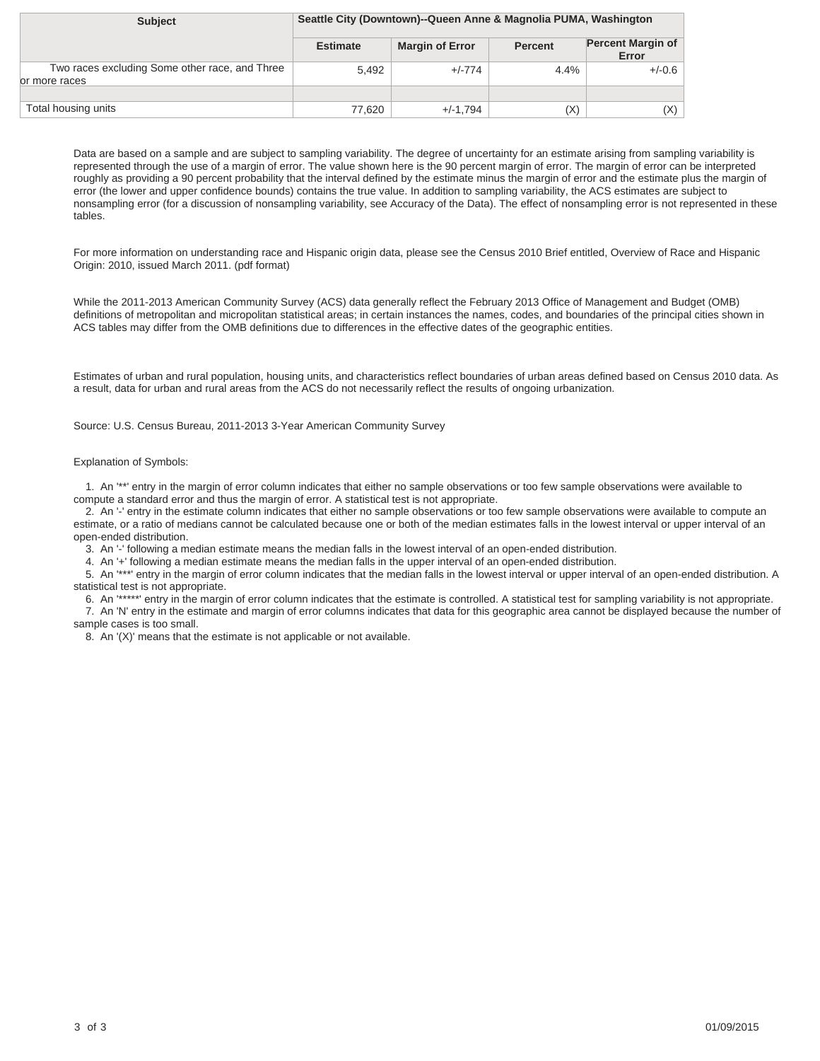| <b>Subject</b>                                                  | Seattle City (Downtown)--Queen Anne & Magnolia PUMA, Washington |                        |                |                                   |
|-----------------------------------------------------------------|-----------------------------------------------------------------|------------------------|----------------|-----------------------------------|
|                                                                 | <b>Estimate</b>                                                 | <b>Margin of Error</b> | <b>Percent</b> | <b>Percent Margin of</b><br>Error |
| Two races excluding Some other race, and Three<br>or more races | 5,492                                                           | $+/-774$               | 4.4%           | $+/-0.6$                          |
|                                                                 |                                                                 |                        |                |                                   |
| Total housing units                                             | 77.620                                                          | $+/-1.794$             | (X)            | (X)                               |

For more information on understanding race and Hispanic origin data, please see the Census 2010 Brief entitled, Overview of Race and Hispanic Origin: 2010, issued March 2011. (pdf format)

While the 2011-2013 American Community Survey (ACS) data generally reflect the February 2013 Office of Management and Budget (OMB) definitions of metropolitan and micropolitan statistical areas; in certain instances the names, codes, and boundaries of the principal cities shown in ACS tables may differ from the OMB definitions due to differences in the effective dates of the geographic entities.

Estimates of urban and rural population, housing units, and characteristics reflect boundaries of urban areas defined based on Census 2010 data. As a result, data for urban and rural areas from the ACS do not necessarily reflect the results of ongoing urbanization.

Source: U.S. Census Bureau, 2011-2013 3-Year American Community Survey

### Explanation of Symbols:

 1. An '\*\*' entry in the margin of error column indicates that either no sample observations or too few sample observations were available to compute a standard error and thus the margin of error. A statistical test is not appropriate.

 2. An '-' entry in the estimate column indicates that either no sample observations or too few sample observations were available to compute an estimate, or a ratio of medians cannot be calculated because one or both of the median estimates falls in the lowest interval or upper interval of an open-ended distribution.

3. An '-' following a median estimate means the median falls in the lowest interval of an open-ended distribution.

4. An '+' following a median estimate means the median falls in the upper interval of an open-ended distribution.

 5. An '\*\*\*' entry in the margin of error column indicates that the median falls in the lowest interval or upper interval of an open-ended distribution. A statistical test is not appropriate.

6. An '\*\*\*\*\*' entry in the margin of error column indicates that the estimate is controlled. A statistical test for sampling variability is not appropriate.

 7. An 'N' entry in the estimate and margin of error columns indicates that data for this geographic area cannot be displayed because the number of sample cases is too small.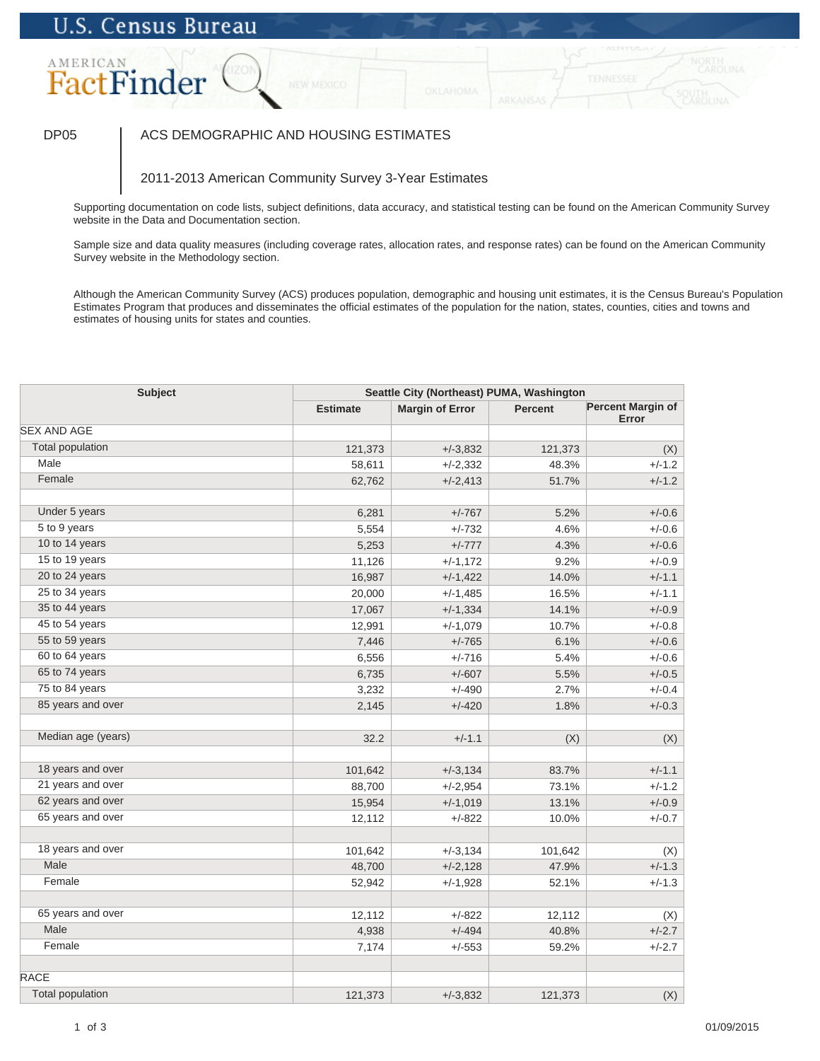# AMERICAN FactFinder

## DP05 | ACS DEMOGRAPHIC AND HOUSING ESTIMATES

## 2011-2013 American Community Survey 3-Year Estimates

Supporting documentation on code lists, subject definitions, data accuracy, and statistical testing can be found on the American Community Survey website in the Data and Documentation section.

Sample size and data quality measures (including coverage rates, allocation rates, and response rates) can be found on the American Community Survey website in the Methodology section.

| Subject<br>Seattle City (Northeast) PUMA, Washington |                 |                        |         |                            |  |
|------------------------------------------------------|-----------------|------------------------|---------|----------------------------|--|
|                                                      | <b>Estimate</b> | <b>Margin of Error</b> | Percent | Percent Margin of<br>Error |  |
| <b>SEX AND AGE</b>                                   |                 |                        |         |                            |  |
| <b>Total population</b>                              | 121,373         | $+/-3,832$             | 121,373 | (X)                        |  |
| Male                                                 | 58,611          | $+/-2,332$             | 48.3%   | $+/-1.2$                   |  |
| Female                                               | 62,762          | $+/-2,413$             | 51.7%   | $+/-1.2$                   |  |
|                                                      |                 |                        |         |                            |  |
| Under 5 years                                        | 6,281           | $+/-767$               | 5.2%    | $+/-0.6$                   |  |
| 5 to 9 years                                         | 5,554           | $+/-732$               | 4.6%    | $+/-0.6$                   |  |
| 10 to 14 years                                       | 5,253           | $+/-777$               | 4.3%    | $+/-0.6$                   |  |
| 15 to 19 years                                       | 11,126          | $+/-1,172$             | 9.2%    | $+/-0.9$                   |  |
| 20 to 24 years                                       | 16,987          | $+/-1,422$             | 14.0%   | $+/-1.1$                   |  |
| 25 to 34 years                                       | 20,000          | $+/-1,485$             | 16.5%   | $+/-1.1$                   |  |
| 35 to 44 years                                       | 17,067          | $+/-1,334$             | 14.1%   | $+/-0.9$                   |  |
| 45 to 54 years                                       | 12,991          | $+/-1,079$             | 10.7%   | $+/-0.8$                   |  |
| 55 to 59 years                                       | 7,446           | $+/-765$               | 6.1%    | $+/-0.6$                   |  |
| 60 to 64 years                                       | 6,556           | $+/-716$               | 5.4%    | $+/-0.6$                   |  |
| 65 to 74 years                                       | 6,735           | $+/-607$               | 5.5%    | $+/-0.5$                   |  |
| 75 to 84 years                                       | 3,232           | $+/-490$               | 2.7%    | $+/-0.4$                   |  |
| 85 years and over                                    | 2,145           | $+/-420$               | 1.8%    | $+/-0.3$                   |  |
| Median age (years)                                   | 32.2            | $+/-1.1$               | (X)     | (X)                        |  |
| 18 years and over                                    | 101,642         | $+/-3,134$             | 83.7%   | $+/-1.1$                   |  |
| 21 years and over                                    | 88,700          | $+/-2,954$             | 73.1%   | $+/-1.2$                   |  |
| 62 years and over                                    | 15,954          | $+/-1,019$             | 13.1%   | $+/-0.9$                   |  |
| 65 years and over                                    | 12,112          | $+/-822$               | 10.0%   | $+/-0.7$                   |  |
|                                                      |                 |                        |         |                            |  |
| 18 years and over                                    | 101,642         | $+/-3,134$             | 101,642 | (X)                        |  |
| Male                                                 | 48,700          | $+/-2,128$             | 47.9%   | $+/-1.3$                   |  |
| Female                                               | 52,942          | $+/-1,928$             | 52.1%   | $+/-1.3$                   |  |
| 65 years and over                                    | 12,112          | $+/-822$               | 12,112  | (X)                        |  |
| Male                                                 | 4,938           | $+/-494$               | 40.8%   | $+/-2.7$                   |  |
| Female                                               | 7,174           | $+/-553$               | 59.2%   | $+/-2.7$                   |  |
| <b>RACE</b>                                          |                 |                        |         |                            |  |
| <b>Total population</b>                              | 121,373         | $+/-3,832$             | 121,373 | (X)                        |  |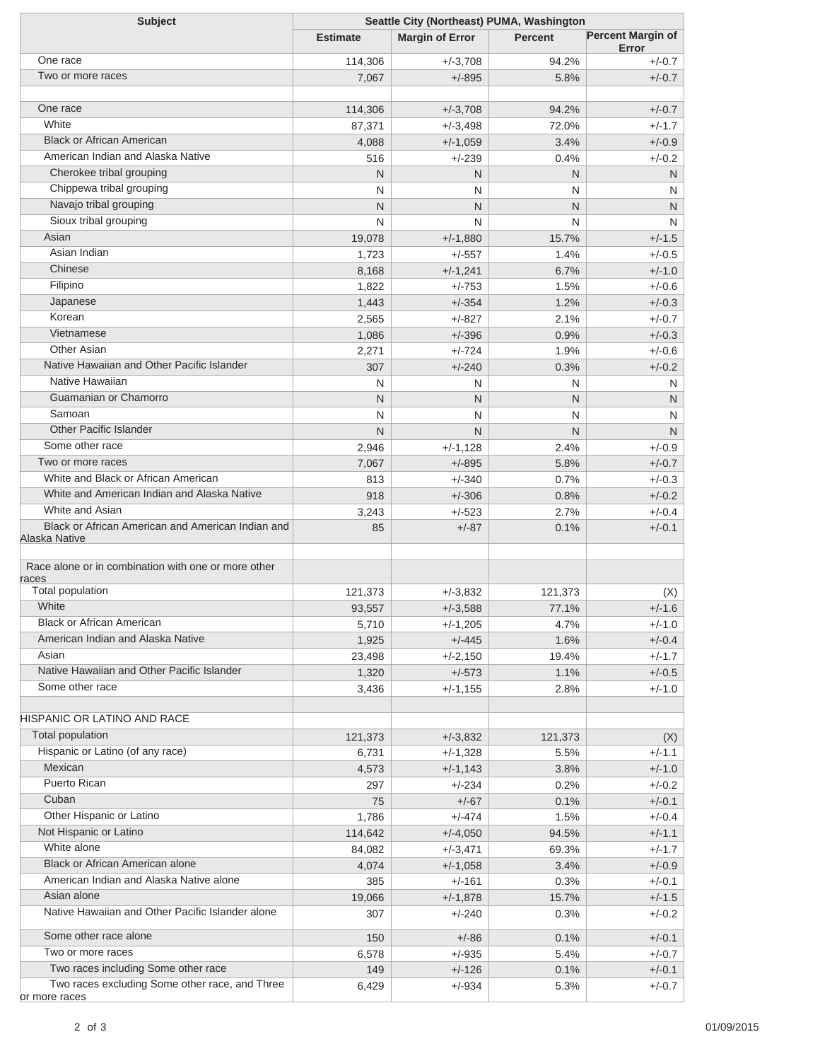| <b>Subject</b>                                      | Seattle City (Northeast) PUMA, Washington |                        |                |                                   |  |
|-----------------------------------------------------|-------------------------------------------|------------------------|----------------|-----------------------------------|--|
|                                                     | <b>Estimate</b>                           | <b>Margin of Error</b> | <b>Percent</b> | <b>Percent Margin of</b><br>Error |  |
| One race                                            | 114,306                                   | $+/-3,708$             | 94.2%          | $+/-0.7$                          |  |
| Two or more races                                   | 7,067                                     | $+/-895$               | 5.8%           | $+/-0.7$                          |  |
|                                                     |                                           |                        |                |                                   |  |
| One race                                            | 114,306                                   | $+/-3,708$             | 94.2%          | $+/-0.7$                          |  |
| White                                               | 87,371                                    | $+/-3,498$             | 72.0%          | $+/-1.7$                          |  |
| <b>Black or African American</b>                    | 4,088                                     | $+/-1,059$             | 3.4%           | $+/-0.9$                          |  |
| American Indian and Alaska Native                   | 516                                       | $+/-239$               | 0.4%           | $+/-0.2$                          |  |
| Cherokee tribal grouping                            | N                                         | N                      | N              | N                                 |  |
| Chippewa tribal grouping                            | N                                         | N                      | N              | N                                 |  |
| Navajo tribal grouping                              | N                                         | N                      | N              | N                                 |  |
| Sioux tribal grouping                               | N                                         | N                      | N              | N                                 |  |
| Asian                                               | 19,078                                    | $+/-1,880$             | 15.7%          | $+/-1.5$                          |  |
| Asian Indian                                        | 1,723                                     | $+/-557$               | 1.4%           | $+/-0.5$                          |  |
| Chinese                                             | 8,168                                     | $+/-1,241$             | 6.7%           | $+/-1.0$                          |  |
| Filipino                                            | 1,822                                     | $+/-753$               | 1.5%           | $+/-0.6$                          |  |
| Japanese                                            | 1,443                                     | $+/-354$               | 1.2%           | $+/-0.3$                          |  |
| Korean                                              | 2,565                                     | $+/-827$               | 2.1%           | $+/-0.7$                          |  |
| Vietnamese                                          | 1,086                                     | $+/-396$               | 0.9%           | $+/-0.3$                          |  |
| <b>Other Asian</b>                                  | 2,271                                     | $+/-724$               | 1.9%           | $+/-0.6$                          |  |
| Native Hawaiian and Other Pacific Islander          | 307                                       | $+/-240$               | 0.3%           | $+/-0.2$                          |  |
| Native Hawaiian                                     | N                                         | N                      | N              | N                                 |  |
| Guamanian or Chamorro                               | N                                         | N                      | N              | N                                 |  |
| Samoan                                              | N                                         | N                      | N              | N                                 |  |
| <b>Other Pacific Islander</b>                       | N                                         | N                      | N              | N                                 |  |
| Some other race                                     | 2,946                                     | $+/-1,128$             | 2.4%           | $+/-0.9$                          |  |
| Two or more races                                   | 7,067                                     | $+/-895$               | 5.8%           | $+/-0.7$                          |  |
| White and Black or African American                 | 813                                       | $+/-340$               | 0.7%           | $+/-0.3$                          |  |
| White and American Indian and Alaska Native         | 918                                       | $+/-306$               | 0.8%           | $+/-0.2$                          |  |
| White and Asian                                     | 3,243                                     | $+/-523$               | 2.7%           | $+/-0.4$                          |  |
| Black or African American and American Indian and   | 85                                        | $+/-87$                | 0.1%           | $+/-0.1$                          |  |
| Alaska Native                                       |                                           |                        |                |                                   |  |
| Race alone or in combination with one or more other |                                           |                        |                |                                   |  |
| races                                               |                                           |                        |                |                                   |  |
| Total population                                    | 121,373                                   | $+/-3,832$             | 121,373        | (X)                               |  |
| White                                               | 93,557                                    | $+/-3,588$             | 77.1%          | $+/-1.6$                          |  |
| <b>Black or African American</b>                    | 5,710                                     | $+/-1,205$             | 4.7%           | $+/-1.0$                          |  |
| American Indian and Alaska Native                   | 1,925                                     | $+/-445$               | 1.6%           | $+/-0.4$                          |  |
| Asian                                               | 23,498                                    | $+/-2,150$             | 19.4%          | $+/-1.7$                          |  |
| Native Hawaiian and Other Pacific Islander          | 1,320                                     | $+/-573$               | 1.1%           | $+/-0.5$                          |  |
| Some other race                                     | 3,436                                     | $+/-1,155$             | 2.8%           | $+/-1.0$                          |  |
| <b>HISPANIC OR LATINO AND RACE</b>                  |                                           |                        |                |                                   |  |
| Total population                                    | 121,373                                   | $+/-3,832$             | 121,373        | (X)                               |  |
| Hispanic or Latino (of any race)                    | 6,731                                     | $+/-1,328$             | 5.5%           | $+/-1.1$                          |  |
| Mexican                                             | 4,573                                     | $+/-1,143$             | 3.8%           | $+/-1.0$                          |  |
| Puerto Rican                                        | 297                                       | $+/-234$               | 0.2%           | $+/-0.2$                          |  |
| Cuban                                               | 75                                        | $+/-67$                | 0.1%           | $+/-0.1$                          |  |
| Other Hispanic or Latino                            | 1,786                                     | $+/-474$               | 1.5%           | $+/-0.4$                          |  |
| Not Hispanic or Latino                              | 114,642                                   | $+/-4,050$             | 94.5%          | $+/-1.1$                          |  |
| White alone                                         | 84,082                                    | $+/-3,471$             | 69.3%          | $+/-1.7$                          |  |
| Black or African American alone                     | 4,074                                     | $+/-1,058$             | 3.4%           | $+/-0.9$                          |  |
| American Indian and Alaska Native alone             | 385                                       | $+/-161$               | 0.3%           | $+/-0.1$                          |  |
| Asian alone                                         | 19,066                                    | $+/-1,878$             | 15.7%          | $+/-1.5$                          |  |
| Native Hawaiian and Other Pacific Islander alone    | 307                                       | $+/-240$               | 0.3%           | $+/-0.2$                          |  |
| Some other race alone                               | 150                                       | $+/-86$                | 0.1%           | $+/-0.1$                          |  |
| Two or more races                                   | 6,578                                     | $+/-935$               | 5.4%           | $+/-0.7$                          |  |
| Two races including Some other race                 | 149                                       | $+/-126$               | 0.1%           | $+/-0.1$                          |  |
| Two races excluding Some other race, and Three      | 6,429                                     | $+/-934$               | 5.3%           | $+/-0.7$                          |  |
| or more races                                       |                                           |                        |                |                                   |  |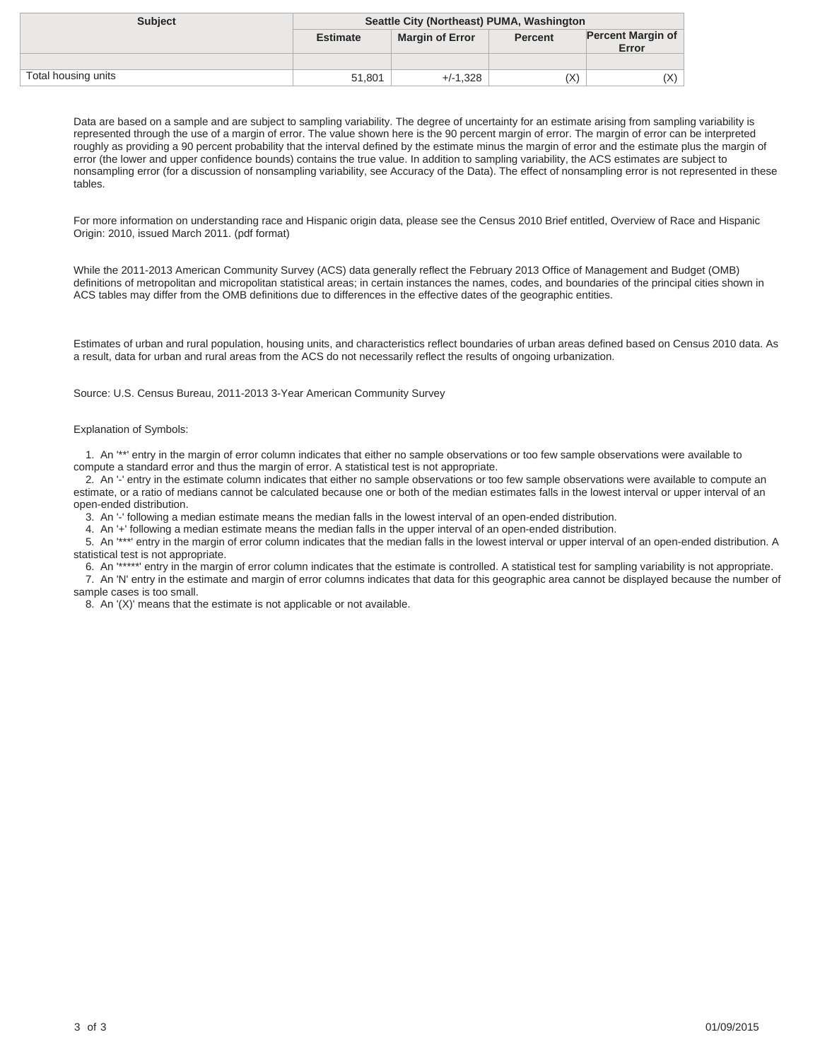| <b>Subject</b>      | Seattle City (Northeast) PUMA, Washington |                        |                |                                   |
|---------------------|-------------------------------------------|------------------------|----------------|-----------------------------------|
|                     | <b>Estimate</b>                           | <b>Margin of Error</b> | <b>Percent</b> | <b>Percent Margin of</b><br>Error |
|                     |                                           |                        |                |                                   |
| Total housing units | 51.801                                    | $+/-1.328$             | (X)            | X)                                |

For more information on understanding race and Hispanic origin data, please see the Census 2010 Brief entitled, Overview of Race and Hispanic Origin: 2010, issued March 2011. (pdf format)

While the 2011-2013 American Community Survey (ACS) data generally reflect the February 2013 Office of Management and Budget (OMB) definitions of metropolitan and micropolitan statistical areas; in certain instances the names, codes, and boundaries of the principal cities shown in ACS tables may differ from the OMB definitions due to differences in the effective dates of the geographic entities.

Estimates of urban and rural population, housing units, and characteristics reflect boundaries of urban areas defined based on Census 2010 data. As a result, data for urban and rural areas from the ACS do not necessarily reflect the results of ongoing urbanization.

Source: U.S. Census Bureau, 2011-2013 3-Year American Community Survey

### Explanation of Symbols:

 1. An '\*\*' entry in the margin of error column indicates that either no sample observations or too few sample observations were available to compute a standard error and thus the margin of error. A statistical test is not appropriate.

 2. An '-' entry in the estimate column indicates that either no sample observations or too few sample observations were available to compute an estimate, or a ratio of medians cannot be calculated because one or both of the median estimates falls in the lowest interval or upper interval of an open-ended distribution.

3. An '-' following a median estimate means the median falls in the lowest interval of an open-ended distribution.

4. An '+' following a median estimate means the median falls in the upper interval of an open-ended distribution.

 5. An '\*\*\*' entry in the margin of error column indicates that the median falls in the lowest interval or upper interval of an open-ended distribution. A statistical test is not appropriate.

 6. An '\*\*\*\*\*' entry in the margin of error column indicates that the estimate is controlled. A statistical test for sampling variability is not appropriate. 7. An 'N' entry in the estimate and margin of error columns indicates that data for this geographic area cannot be displayed because the number of sample cases is too small.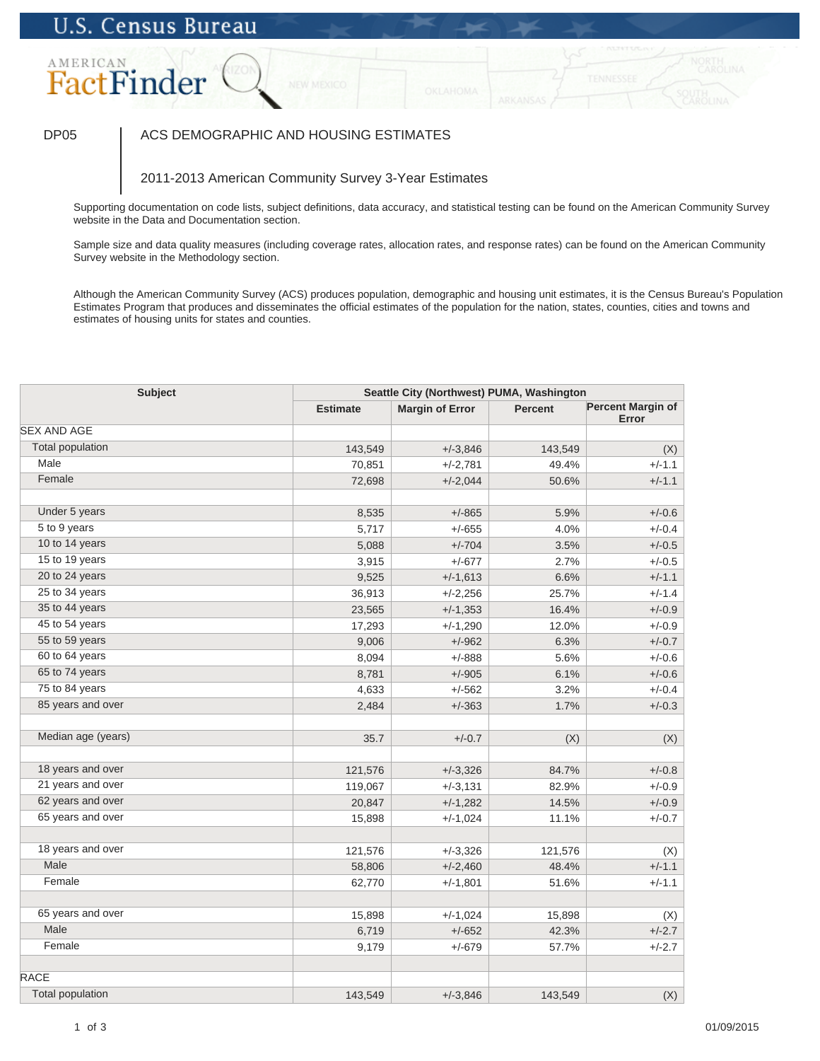# AMERICAN FactFinder

## DP05 | ACS DEMOGRAPHIC AND HOUSING ESTIMATES

## 2011-2013 American Community Survey 3-Year Estimates

Supporting documentation on code lists, subject definitions, data accuracy, and statistical testing can be found on the American Community Survey website in the Data and Documentation section.

Sample size and data quality measures (including coverage rates, allocation rates, and response rates) can be found on the American Community Survey website in the Methodology section.

| <b>Subject</b>          | Seattle City (Northwest) PUMA, Washington |                        |                |                            |
|-------------------------|-------------------------------------------|------------------------|----------------|----------------------------|
|                         | <b>Estimate</b>                           | <b>Margin of Error</b> | <b>Percent</b> | Percent Margin of<br>Error |
| <b>SEX AND AGE</b>      |                                           |                        |                |                            |
| <b>Total population</b> | 143,549                                   | $+/-3,846$             | 143,549        | (X)                        |
| Male                    | 70,851                                    | $+/-2,781$             | 49.4%          | $+/-1.1$                   |
| Female                  | 72,698                                    | $+/-2,044$             | 50.6%          | $+/-1.1$                   |
|                         |                                           |                        |                |                            |
| Under 5 years           | 8,535                                     | $+/-865$               | 5.9%           | $+/-0.6$                   |
| 5 to 9 years            | 5,717                                     | $+/-655$               | 4.0%           | $+/-0.4$                   |
| 10 to 14 years          | 5,088                                     | $+/-704$               | 3.5%           | $+/-0.5$                   |
| 15 to 19 years          | 3,915                                     | $+/-677$               | 2.7%           | $+/-0.5$                   |
| 20 to 24 years          | 9,525                                     | $+/-1,613$             | 6.6%           | $+/-1.1$                   |
| 25 to 34 years          | 36,913                                    | $+/-2,256$             | 25.7%          | $+/-1.4$                   |
| 35 to 44 years          | 23,565                                    | $+/-1,353$             | 16.4%          | $+/-0.9$                   |
| 45 to 54 years          | 17,293                                    | $+/-1,290$             | 12.0%          | $+/-0.9$                   |
| 55 to 59 years          | 9,006                                     | $+/-962$               | 6.3%           | $+/-0.7$                   |
| 60 to 64 years          | 8,094                                     | $+/-888$               | 5.6%           | $+/-0.6$                   |
| 65 to 74 years          | 8,781                                     | $+/-905$               | 6.1%           | $+/-0.6$                   |
| 75 to 84 years          | 4,633                                     | $+/-562$               | 3.2%           | $+/-0.4$                   |
| 85 years and over       | 2,484                                     | $+/-363$               | 1.7%           | $+/-0.3$                   |
| Median age (years)      | 35.7                                      | $+/-0.7$               | (X)            | (X)                        |
| 18 years and over       | 121,576                                   | $+/-3,326$             | 84.7%          | $+/-0.8$                   |
| 21 years and over       | 119,067                                   | $+/-3,131$             | 82.9%          | $+/-0.9$                   |
| 62 years and over       | 20,847                                    | $+/-1,282$             | 14.5%          | $+/-0.9$                   |
| 65 years and over       | 15,898                                    | $+/-1,024$             | 11.1%          | $+/-0.7$                   |
| 18 years and over       |                                           |                        |                |                            |
| Male                    | 121,576                                   | $+/-3,326$             | 121,576        | (X)                        |
| Female                  | 58,806                                    | $+/-2,460$             | 48.4%          | $+/-1.1$                   |
|                         | 62,770                                    | $+/-1,801$             | 51.6%          | $+/-1.1$                   |
| 65 years and over       | 15,898                                    | $+/-1,024$             | 15,898         | (X)                        |
| Male                    | 6,719                                     | $+/-652$               | 42.3%          | $+/-2.7$                   |
| Female                  | 9,179                                     | $+/-679$               | 57.7%          | $+/-2.7$                   |
| <b>RACE</b>             |                                           |                        |                |                            |
| <b>Total population</b> | 143,549                                   | $+/-3,846$             | 143,549        | (X)                        |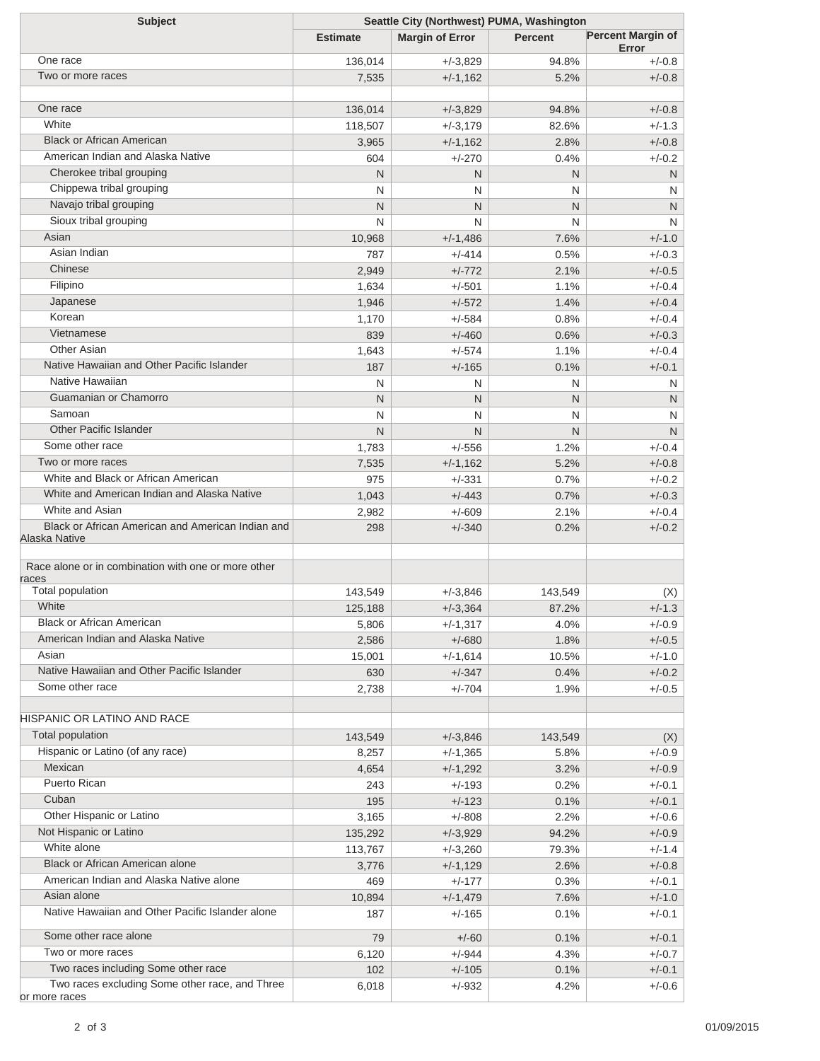| <b>Subject</b>                                      | Seattle City (Northwest) PUMA, Washington |                        |                |                                   |  |
|-----------------------------------------------------|-------------------------------------------|------------------------|----------------|-----------------------------------|--|
|                                                     | <b>Estimate</b>                           | <b>Margin of Error</b> | <b>Percent</b> | <b>Percent Margin of</b><br>Error |  |
| One race                                            | 136,014                                   | $+/-3,829$             | 94.8%          | $+/-0.8$                          |  |
| Two or more races                                   | 7,535                                     | $+/-1,162$             | 5.2%           | $+/-0.8$                          |  |
|                                                     |                                           |                        |                |                                   |  |
| One race                                            | 136,014                                   | $+/-3,829$             | 94.8%          | $+/-0.8$                          |  |
| White                                               | 118,507                                   | $+/-3,179$             | 82.6%          | $+/-1.3$                          |  |
| <b>Black or African American</b>                    | 3,965                                     | $+/-1,162$             | 2.8%           | $+/-0.8$                          |  |
| American Indian and Alaska Native                   | 604                                       | $+/-270$               | 0.4%           | $+/-0.2$                          |  |
| Cherokee tribal grouping                            | N                                         | N                      | N              | N                                 |  |
| Chippewa tribal grouping                            | N                                         | N                      | N              | N                                 |  |
| Navajo tribal grouping                              | N                                         | N                      | N              | N                                 |  |
| Sioux tribal grouping                               | N                                         | N                      | N              | N                                 |  |
| Asian                                               | 10,968                                    | $+/-1,486$             | 7.6%           | $+/-1.0$                          |  |
| Asian Indian                                        | 787                                       | $+/-414$               | 0.5%           | $+/-0.3$                          |  |
| Chinese                                             | 2,949                                     | $+/-772$               | 2.1%           | $+/-0.5$                          |  |
| Filipino                                            | 1,634                                     | $+/-501$               | 1.1%           | $+/-0.4$                          |  |
| Japanese                                            | 1,946                                     | $+/-572$               | 1.4%           | $+/-0.4$                          |  |
| Korean                                              | 1,170                                     | $+/-584$               | 0.8%           | $+/-0.4$                          |  |
| Vietnamese                                          | 839                                       | $+/-460$               | 0.6%           | $+/-0.3$                          |  |
| <b>Other Asian</b>                                  | 1,643                                     | $+/-574$               | 1.1%           | $+/-0.4$                          |  |
| Native Hawaiian and Other Pacific Islander          | 187                                       | $+/-165$               | 0.1%           | $+/-0.1$                          |  |
| Native Hawaiian                                     | N                                         | N                      | N              | N                                 |  |
| Guamanian or Chamorro                               | N                                         | N                      | N              | N                                 |  |
| Samoan                                              | N                                         | N                      | N              | N                                 |  |
| <b>Other Pacific Islander</b>                       | N                                         | N.                     | N              | N                                 |  |
| Some other race                                     | 1,783                                     | $+/-556$               | 1.2%           | $+/-0.4$                          |  |
| Two or more races                                   | 7,535                                     | $+/-1,162$             | 5.2%           | $+/-0.8$                          |  |
| White and Black or African American                 | 975                                       | $+/-331$               | 0.7%           | $+/-0.2$                          |  |
| White and American Indian and Alaska Native         | 1,043                                     | $+/-443$               | 0.7%           | $+/-0.3$                          |  |
| White and Asian                                     | 2,982                                     | $+/-609$               | 2.1%           | $+/-0.4$                          |  |
| Black or African American and American Indian and   | 298                                       | $+/-340$               | 0.2%           | $+/-0.2$                          |  |
| Alaska Native                                       |                                           |                        |                |                                   |  |
| Race alone or in combination with one or more other |                                           |                        |                |                                   |  |
| races                                               |                                           |                        |                |                                   |  |
| Total population                                    | 143,549                                   | $+/-3,846$             | 143,549        | (X)                               |  |
| White                                               | 125,188                                   | $+/-3,364$             | 87.2%          | $+/-1.3$                          |  |
| <b>Black or African American</b>                    | 5,806                                     | $+/-1,317$             | 4.0%           | $+/-0.9$                          |  |
| American Indian and Alaska Native                   | 2,586                                     | $+/-680$               | 1.8%           | $+/-0.5$                          |  |
| Asian                                               | 15,001                                    | $+/-1,614$             | 10.5%          | $+/-1.0$                          |  |
| Native Hawaiian and Other Pacific Islander          | 630                                       | $+/-347$               | 0.4%           | $+/-0.2$                          |  |
| Some other race                                     | 2,738                                     | $+/-704$               | 1.9%           | $+/-0.5$                          |  |
| <b>HISPANIC OR LATINO AND RACE</b>                  |                                           |                        |                |                                   |  |
| Total population                                    | 143,549                                   | $+/-3,846$             | 143,549        | (X)                               |  |
| Hispanic or Latino (of any race)                    | 8,257                                     | $+/-1,365$             | 5.8%           | $+/-0.9$                          |  |
| Mexican                                             | 4,654                                     | $+/-1,292$             | 3.2%           | $+/-0.9$                          |  |
| <b>Puerto Rican</b>                                 | 243                                       | $+/-193$               | 0.2%           | $+/-0.1$                          |  |
| Cuban                                               | 195                                       | $+/-123$               | 0.1%           | $+/-0.1$                          |  |
| Other Hispanic or Latino                            | 3,165                                     | $+/-808$               | 2.2%           | $+/-0.6$                          |  |
| Not Hispanic or Latino                              | 135,292                                   | $+/-3,929$             | 94.2%          | $+/-0.9$                          |  |
| White alone                                         | 113,767                                   | $+/-3,260$             | 79.3%          | $+/-1.4$                          |  |
| Black or African American alone                     | 3,776                                     | $+/-1,129$             | 2.6%           | $+/-0.8$                          |  |
| American Indian and Alaska Native alone             | 469                                       | $+/-177$               | 0.3%           | $+/-0.1$                          |  |
| Asian alone                                         | 10,894                                    | $+/-1,479$             | 7.6%           | $+/-1.0$                          |  |
| Native Hawaiian and Other Pacific Islander alone    | 187                                       | $+/-165$               | 0.1%           | $+/-0.1$                          |  |
| Some other race alone                               | 79                                        | $+/-60$                | 0.1%           | $+/-0.1$                          |  |
| Two or more races                                   | 6,120                                     | $+/-944$               | 4.3%           | $+/-0.7$                          |  |
| Two races including Some other race                 | 102                                       | $+/-105$               | 0.1%           | $+/-0.1$                          |  |
| Two races excluding Some other race, and Three      | 6,018                                     | $+/-932$               | 4.2%           | $+/-0.6$                          |  |
| or more races                                       |                                           |                        |                |                                   |  |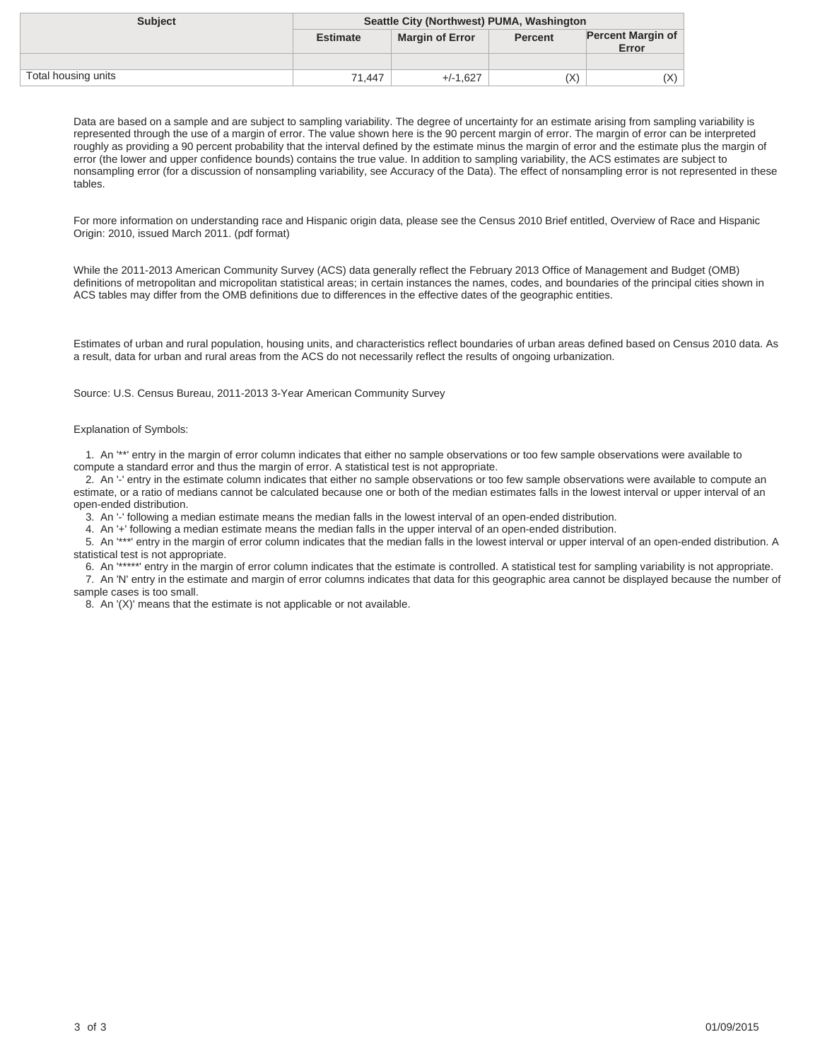| <b>Subject</b>      | Seattle City (Northwest) PUMA, Washington |                        |                |                                   |
|---------------------|-------------------------------------------|------------------------|----------------|-----------------------------------|
|                     | <b>Estimate</b>                           | <b>Margin of Error</b> | <b>Percent</b> | <b>Percent Margin of</b><br>Error |
|                     |                                           |                        |                |                                   |
| Total housing units | 71.447                                    | $+/-1.627$             | (X)            | X)                                |

For more information on understanding race and Hispanic origin data, please see the Census 2010 Brief entitled, Overview of Race and Hispanic Origin: 2010, issued March 2011. (pdf format)

While the 2011-2013 American Community Survey (ACS) data generally reflect the February 2013 Office of Management and Budget (OMB) definitions of metropolitan and micropolitan statistical areas; in certain instances the names, codes, and boundaries of the principal cities shown in ACS tables may differ from the OMB definitions due to differences in the effective dates of the geographic entities.

Estimates of urban and rural population, housing units, and characteristics reflect boundaries of urban areas defined based on Census 2010 data. As a result, data for urban and rural areas from the ACS do not necessarily reflect the results of ongoing urbanization.

Source: U.S. Census Bureau, 2011-2013 3-Year American Community Survey

### Explanation of Symbols:

 1. An '\*\*' entry in the margin of error column indicates that either no sample observations or too few sample observations were available to compute a standard error and thus the margin of error. A statistical test is not appropriate.

 2. An '-' entry in the estimate column indicates that either no sample observations or too few sample observations were available to compute an estimate, or a ratio of medians cannot be calculated because one or both of the median estimates falls in the lowest interval or upper interval of an open-ended distribution.

3. An '-' following a median estimate means the median falls in the lowest interval of an open-ended distribution.

4. An '+' following a median estimate means the median falls in the upper interval of an open-ended distribution.

 5. An '\*\*\*' entry in the margin of error column indicates that the median falls in the lowest interval or upper interval of an open-ended distribution. A statistical test is not appropriate.

 6. An '\*\*\*\*\*' entry in the margin of error column indicates that the estimate is controlled. A statistical test for sampling variability is not appropriate. 7. An 'N' entry in the estimate and margin of error columns indicates that data for this geographic area cannot be displayed because the number of sample cases is too small.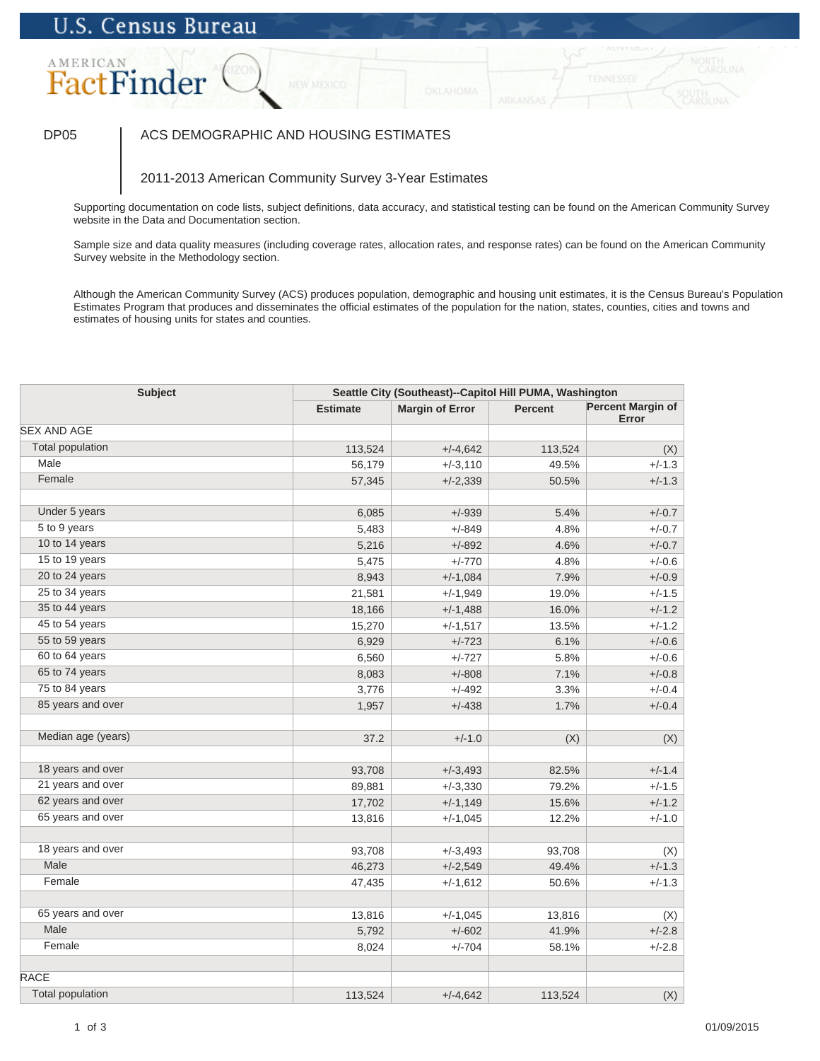# AMERICAN FactFinder

## DP05 | ACS DEMOGRAPHIC AND HOUSING ESTIMATES

### 2011-2013 American Community Survey 3-Year Estimates

Supporting documentation on code lists, subject definitions, data accuracy, and statistical testing can be found on the American Community Survey website in the Data and Documentation section.

Sample size and data quality measures (including coverage rates, allocation rates, and response rates) can be found on the American Community Survey website in the Methodology section.

| <b>Subject</b>          | Seattle City (Southeast)--Capitol Hill PUMA, Washington |                        |         |                                   |
|-------------------------|---------------------------------------------------------|------------------------|---------|-----------------------------------|
|                         | <b>Estimate</b>                                         | <b>Margin of Error</b> | Percent | <b>Percent Margin of</b><br>Error |
| <b>SEX AND AGE</b>      |                                                         |                        |         |                                   |
| <b>Total population</b> | 113,524                                                 | $+/-4,642$             | 113,524 | (X)                               |
| Male                    | 56,179                                                  | $+/-3,110$             | 49.5%   | $+/-1.3$                          |
| Female                  | 57,345                                                  | $+/-2,339$             | 50.5%   | $+/-1.3$                          |
|                         |                                                         |                        |         |                                   |
| Under 5 years           | 6,085                                                   | $+/-939$               | 5.4%    | $+/-0.7$                          |
| 5 to 9 years            | 5,483                                                   | $+/-849$               | 4.8%    | $+/-0.7$                          |
| 10 to 14 years          | 5,216                                                   | $+/-892$               | 4.6%    | $+/-0.7$                          |
| 15 to 19 years          | 5,475                                                   | $+/-770$               | 4.8%    | $+/-0.6$                          |
| 20 to 24 years          | 8,943                                                   | $+/-1,084$             | 7.9%    | $+/-0.9$                          |
| 25 to 34 years          | 21,581                                                  | $+/-1,949$             | 19.0%   | $+/-1.5$                          |
| 35 to 44 years          | 18,166                                                  | $+/-1,488$             | 16.0%   | $+/-1.2$                          |
| 45 to 54 years          | 15,270                                                  | $+/-1,517$             | 13.5%   | $+/-1.2$                          |
| 55 to 59 years          | 6,929                                                   | $+/-723$               | 6.1%    | $+/-0.6$                          |
| 60 to 64 years          | 6,560                                                   | $+/-727$               | 5.8%    | $+/-0.6$                          |
| 65 to 74 years          | 8,083                                                   | $+/-808$               | 7.1%    | $+/-0.8$                          |
| 75 to 84 years          | 3,776                                                   | $+/-492$               | 3.3%    | $+/-0.4$                          |
| 85 years and over       | 1,957                                                   | $+/-438$               | 1.7%    | $+/-0.4$                          |
| Median age (years)      | 37.2                                                    | $+/-1.0$               | (X)     | (X)                               |
| 18 years and over       | 93,708                                                  | $+/-3,493$             | 82.5%   | $+/-1.4$                          |
| 21 years and over       | 89,881                                                  | $+/-3,330$             | 79.2%   | $+/-1.5$                          |
| 62 years and over       | 17,702                                                  | $+/-1,149$             | 15.6%   | $+/-1.2$                          |
| 65 years and over       | 13,816                                                  | $+/-1,045$             | 12.2%   | $+/-1.0$                          |
| 18 years and over       | 93,708                                                  | $+/-3,493$             | 93,708  | (X)                               |
| Male                    | 46,273                                                  | $+/-2,549$             | 49.4%   | $+/-1.3$                          |
| Female                  | 47,435                                                  | $+/-1,612$             | 50.6%   | $+/-1.3$                          |
|                         |                                                         |                        |         |                                   |
| 65 years and over       | 13,816                                                  | $+/-1,045$             | 13,816  | (X)                               |
| Male                    | 5,792                                                   | $+/-602$               | 41.9%   | $+/-2.8$                          |
| Female                  | 8,024                                                   | $+/-704$               | 58.1%   | $+/-2.8$                          |
| <b>RACE</b>             |                                                         |                        |         |                                   |
| <b>Total population</b> | 113,524                                                 | $+/-4,642$             | 113,524 | (X)                               |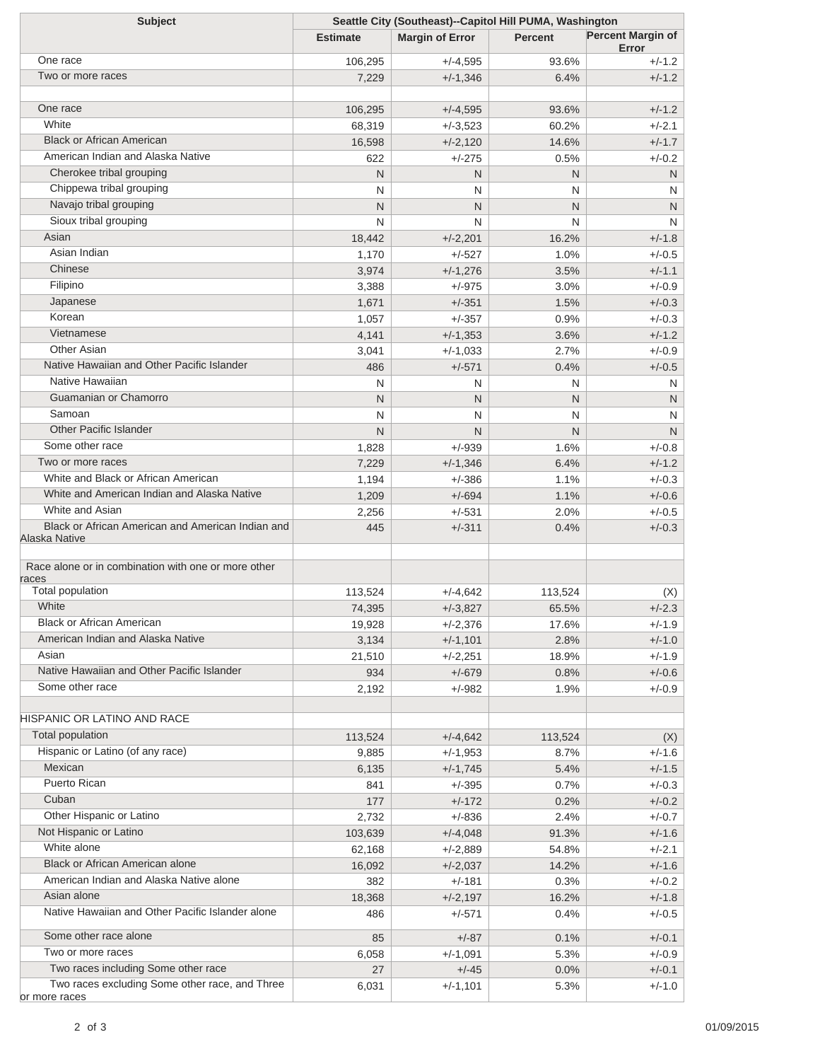| <b>Subject</b>                                                                        | Seattle City (Southeast)--Capitol Hill PUMA, Washington |                        |                |                                   |
|---------------------------------------------------------------------------------------|---------------------------------------------------------|------------------------|----------------|-----------------------------------|
|                                                                                       | <b>Estimate</b>                                         | <b>Margin of Error</b> | <b>Percent</b> | <b>Percent Margin of</b><br>Error |
| One race                                                                              | 106,295                                                 | $+/-4,595$             | 93.6%          | $+/-1.2$                          |
| Two or more races                                                                     | 7,229                                                   | $+/-1,346$             | 6.4%           | $+/-1.2$                          |
|                                                                                       |                                                         |                        |                |                                   |
| One race                                                                              | 106,295                                                 | $+/-4,595$             | 93.6%          | $+/-1.2$                          |
| White                                                                                 | 68,319                                                  | $+/-3,523$             | 60.2%          | $+/-2.1$                          |
| <b>Black or African American</b>                                                      | 16,598                                                  | $+/-2,120$             | 14.6%          | $+/-1.7$                          |
| American Indian and Alaska Native                                                     | 622                                                     | $+/-275$               | 0.5%           | $+/-0.2$                          |
| Cherokee tribal grouping                                                              | N                                                       | N                      | N              | N                                 |
| Chippewa tribal grouping                                                              | N                                                       | N                      | N              | N                                 |
| Navajo tribal grouping                                                                | N                                                       | N                      | N              | N                                 |
| Sioux tribal grouping                                                                 | N                                                       | N                      | N              | N                                 |
| Asian                                                                                 | 18,442                                                  | $+/-2,201$             | 16.2%          | $+/-1.8$                          |
| Asian Indian                                                                          | 1,170                                                   | $+/-527$               | 1.0%           | $+/-0.5$                          |
| Chinese                                                                               | 3,974                                                   | $+/-1,276$             | 3.5%           | $+/-1.1$                          |
| Filipino                                                                              | 3,388                                                   | $+/-975$               | 3.0%           | $+/-0.9$                          |
| Japanese                                                                              | 1,671                                                   | $+/-351$               | 1.5%           | $+/-0.3$                          |
| Korean                                                                                | 1,057                                                   | $+/-357$               | 0.9%           | $+/-0.3$                          |
| Vietnamese                                                                            | 4,141                                                   | $+/-1,353$             | 3.6%           | $+/-1.2$                          |
| Other Asian                                                                           | 3,041                                                   | $+/-1,033$             | 2.7%           | $+/-0.9$                          |
| Native Hawaiian and Other Pacific Islander                                            | 486                                                     | $+/-571$               | 0.4%           | $+/-0.5$                          |
| Native Hawaiian                                                                       | N                                                       | N                      | N              | N                                 |
| Guamanian or Chamorro                                                                 | N                                                       | N                      | N              | N                                 |
| Samoan                                                                                | N                                                       | N                      | N              | N                                 |
| <b>Other Pacific Islander</b>                                                         | N                                                       | N                      | N              | N                                 |
| Some other race                                                                       | 1,828                                                   | $+/-939$               | 1.6%           | $+/-0.8$                          |
| Two or more races                                                                     | 7,229                                                   | $+/-1,346$             | 6.4%           | $+/-1.2$                          |
| White and Black or African American                                                   | 1,194                                                   | $+/-386$               | 1.1%           | $+/-0.3$                          |
| White and American Indian and Alaska Native                                           | 1,209                                                   | $+/-694$               | 1.1%           | $+/-0.6$                          |
| White and Asian                                                                       | 2,256                                                   | $+/-531$               | 2.0%           | $+/-0.5$                          |
| Black or African American and American Indian and                                     | 445                                                     | $+/-311$               | 0.4%           | $+/-0.3$                          |
| Alaska Native                                                                         |                                                         |                        |                |                                   |
| Race alone or in combination with one or more other                                   |                                                         |                        |                |                                   |
| races                                                                                 |                                                         |                        |                |                                   |
| Total population                                                                      | 113,524                                                 | $+/-4,642$             | 113,524        | (X)                               |
| White                                                                                 | 74,395                                                  | $+/-3.827$             | 65.5%          | $+/-2.3$                          |
| <b>Black or African American</b>                                                      | 19,928                                                  | $+/-2,376$             | 17.6%          | $+/-1.9$                          |
| American Indian and Alaska Native                                                     | 3,134                                                   | $+/-1,101$             | 2.8%           | $+/-1.0$                          |
| Asian                                                                                 | 21,510                                                  | $+/-2,251$             | 18.9%          | $+/-1.9$                          |
| Native Hawaiian and Other Pacific Islander<br>Some other race                         | 934                                                     | $+/-679$               | 0.8%           | $+/-0.6$                          |
|                                                                                       | 2,192                                                   | $+/-982$               | 1.9%           | $+/-0.9$                          |
| HISPANIC OR LATINO AND RACE                                                           |                                                         |                        |                |                                   |
| Total population                                                                      | 113,524                                                 | $+/-4,642$             | 113,524        | (X)                               |
| Hispanic or Latino (of any race)                                                      | 9,885                                                   | $+/-1,953$             | 8.7%           | $+/-1.6$                          |
| Mexican                                                                               | 6,135                                                   | $+/-1,745$             | 5.4%           | $+/-1.5$                          |
| <b>Puerto Rican</b>                                                                   | 841                                                     | $+/-395$               | 0.7%           | $+/-0.3$                          |
| Cuban                                                                                 | 177                                                     | $+/-172$               | 0.2%           | $+/-0.2$                          |
| Other Hispanic or Latino                                                              | 2,732                                                   | $+/-836$               | 2.4%           | $+/-0.7$                          |
| Not Hispanic or Latino                                                                | 103,639                                                 | $+/-4,048$             | 91.3%          | $+/-1.6$                          |
| White alone                                                                           | 62,168                                                  | $+/-2,889$             | 54.8%          | $+/-2.1$                          |
| <b>Black or African American alone</b>                                                | 16,092                                                  | $+/-2,037$             | 14.2%          | $+/-1.6$                          |
| American Indian and Alaska Native alone                                               | 382                                                     | $+/-181$               | 0.3%           | $+/-0.2$                          |
| Asian alone                                                                           | 18,368                                                  | $+/-2,197$             | 16.2%          | $+/-1.8$                          |
| Native Hawaiian and Other Pacific Islander alone                                      | 486                                                     | $+/-571$               | 0.4%           | $+/-0.5$                          |
|                                                                                       |                                                         |                        |                |                                   |
| Some other race alone                                                                 | 85                                                      | $+/-87$                | 0.1%           | $+/-0.1$                          |
| Two or more races                                                                     | 6,058                                                   | $+/-1,091$             | 5.3%           | $+/-0.9$                          |
| Two races including Some other race<br>Two races excluding Some other race, and Three | 27                                                      | $+/-45$                | 0.0%           | $+/-0.1$                          |
| or more races                                                                         | 6,031                                                   | $+/-1,101$             | 5.3%           | $+/-1.0$                          |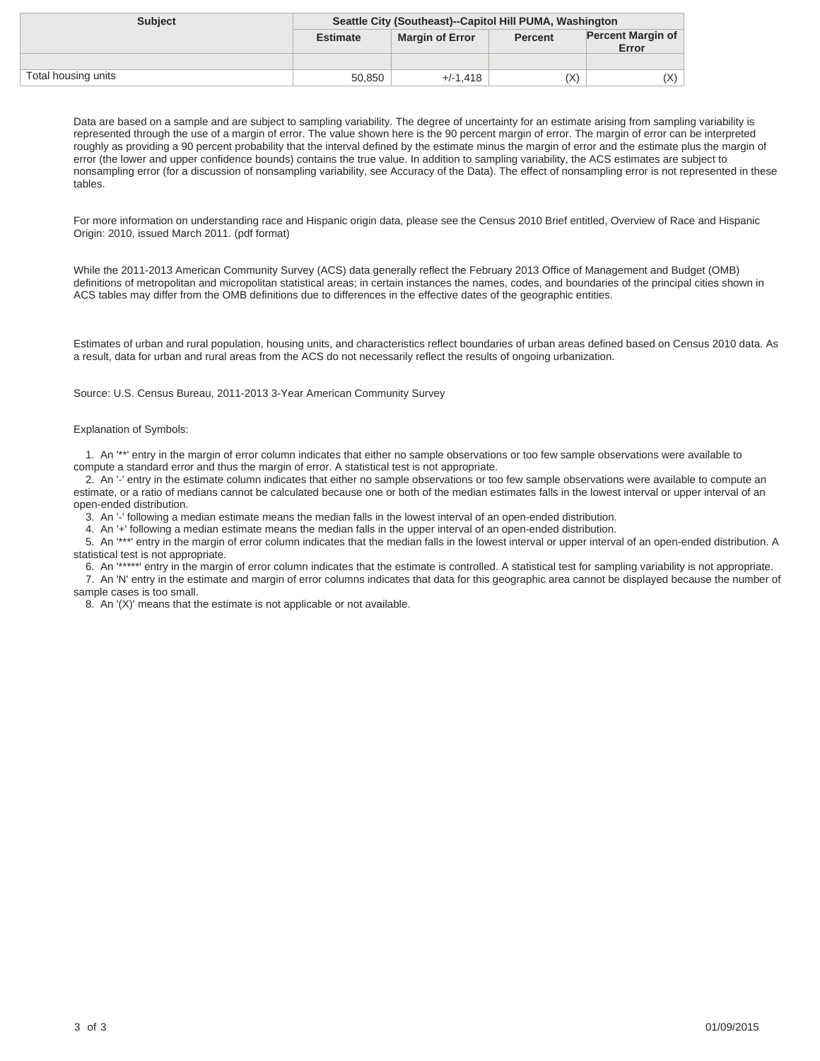| <b>Subject</b>      | Seattle City (Southeast)--Capitol Hill PUMA, Washington |                        |                |                                   |
|---------------------|---------------------------------------------------------|------------------------|----------------|-----------------------------------|
|                     | <b>Estimate</b>                                         | <b>Margin of Error</b> | <b>Percent</b> | <b>Percent Margin of</b><br>Error |
|                     |                                                         |                        |                |                                   |
| Total housing units | 50.850                                                  | $+/-1.418$             | (X)            | (X)                               |

For more information on understanding race and Hispanic origin data, please see the Census 2010 Brief entitled, Overview of Race and Hispanic Origin: 2010, issued March 2011. (pdf format)

While the 2011-2013 American Community Survey (ACS) data generally reflect the February 2013 Office of Management and Budget (OMB) definitions of metropolitan and micropolitan statistical areas; in certain instances the names, codes, and boundaries of the principal cities shown in ACS tables may differ from the OMB definitions due to differences in the effective dates of the geographic entities.

Estimates of urban and rural population, housing units, and characteristics reflect boundaries of urban areas defined based on Census 2010 data. As a result, data for urban and rural areas from the ACS do not necessarily reflect the results of ongoing urbanization.

Source: U.S. Census Bureau, 2011-2013 3-Year American Community Survey

### Explanation of Symbols:

 1. An '\*\*' entry in the margin of error column indicates that either no sample observations or too few sample observations were available to compute a standard error and thus the margin of error. A statistical test is not appropriate.

 2. An '-' entry in the estimate column indicates that either no sample observations or too few sample observations were available to compute an estimate, or a ratio of medians cannot be calculated because one or both of the median estimates falls in the lowest interval or upper interval of an open-ended distribution.

3. An '-' following a median estimate means the median falls in the lowest interval of an open-ended distribution.

4. An '+' following a median estimate means the median falls in the upper interval of an open-ended distribution.

 5. An '\*\*\*' entry in the margin of error column indicates that the median falls in the lowest interval or upper interval of an open-ended distribution. A statistical test is not appropriate.

 6. An '\*\*\*\*\*' entry in the margin of error column indicates that the estimate is controlled. A statistical test for sampling variability is not appropriate. 7. An 'N' entry in the estimate and margin of error columns indicates that data for this geographic area cannot be displayed because the number of sample cases is too small.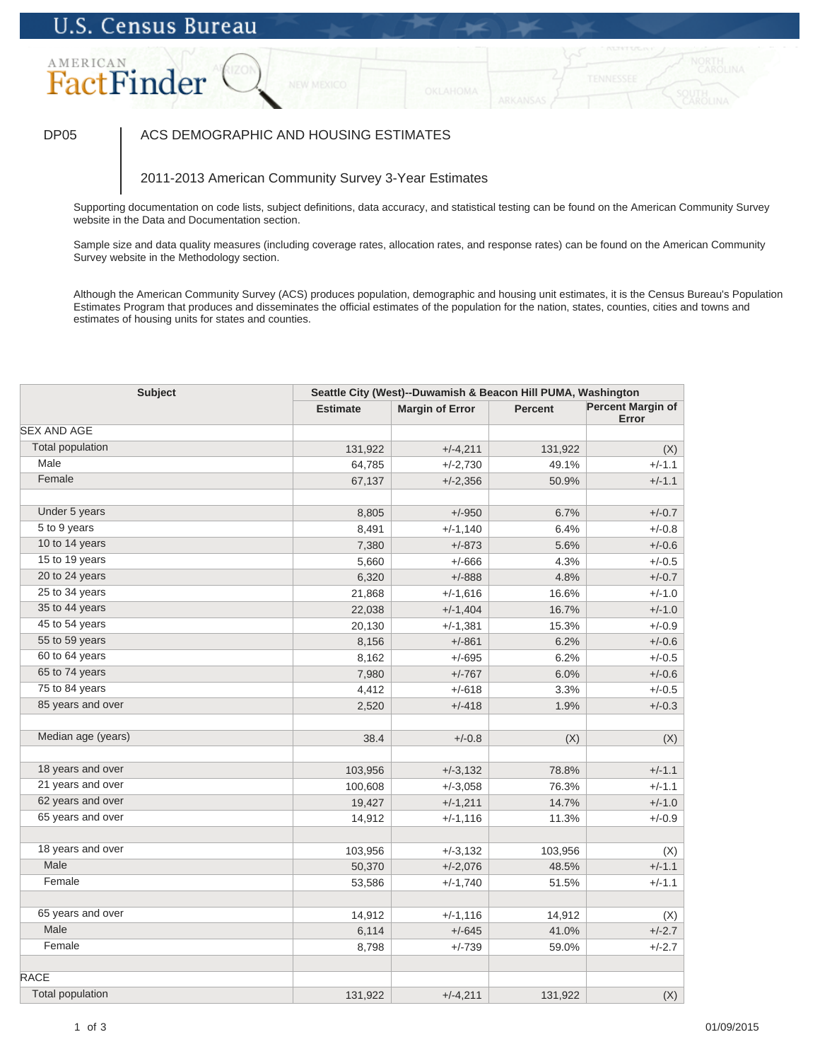# AMERICAN FactFinder

## DP05 | ACS DEMOGRAPHIC AND HOUSING ESTIMATES

## 2011-2013 American Community Survey 3-Year Estimates

Supporting documentation on code lists, subject definitions, data accuracy, and statistical testing can be found on the American Community Survey website in the Data and Documentation section.

Sample size and data quality measures (including coverage rates, allocation rates, and response rates) can be found on the American Community Survey website in the Methodology section.

| <b>Subject</b>          |                 | Seattle City (West)--Duwamish & Beacon Hill PUMA, Washington |                |                                   |  |
|-------------------------|-----------------|--------------------------------------------------------------|----------------|-----------------------------------|--|
|                         | <b>Estimate</b> | <b>Margin of Error</b>                                       | <b>Percent</b> | <b>Percent Margin of</b><br>Error |  |
| <b>SEX AND AGE</b>      |                 |                                                              |                |                                   |  |
| <b>Total population</b> | 131,922         | $+/-4,211$                                                   | 131,922        | (X)                               |  |
| Male                    | 64,785          | $+/-2,730$                                                   | 49.1%          | $+/-1.1$                          |  |
| Female                  | 67,137          | $+/-2,356$                                                   | 50.9%          | $+/-1.1$                          |  |
| Under 5 years           | 8,805           | $+/-950$                                                     | 6.7%           | $+/-0.7$                          |  |
| 5 to 9 years            | 8,491           | $+/-1,140$                                                   | 6.4%           | $+/-0.8$                          |  |
| 10 to 14 years          | 7,380           | $+/-873$                                                     | 5.6%           | $+/-0.6$                          |  |
| 15 to 19 years          | 5,660           | $+/-666$                                                     | 4.3%           | $+/-0.5$                          |  |
| 20 to 24 years          | 6,320           | $+/-888$                                                     | 4.8%           | $+/-0.7$                          |  |
| 25 to 34 years          | 21,868          | $+/-1,616$                                                   | 16.6%          | $+/-1.0$                          |  |
| 35 to 44 years          | 22,038          | $+/-1,404$                                                   | 16.7%          | $+/-1.0$                          |  |
| 45 to 54 years          | 20,130          | $+/-1,381$                                                   | 15.3%          | $+/-0.9$                          |  |
| 55 to 59 years          | 8,156           | $+/-861$                                                     | 6.2%           | $+/-0.6$                          |  |
| 60 to 64 years          | 8,162           | $+/-695$                                                     | 6.2%           | $+/-0.5$                          |  |
| 65 to 74 years          | 7,980           | $+/-767$                                                     | 6.0%           | $+/-0.6$                          |  |
| 75 to 84 years          | 4,412           | $+/-618$                                                     | 3.3%           | $+/-0.5$                          |  |
| 85 years and over       | 2,520           | $+/-418$                                                     | 1.9%           | $+/-0.3$                          |  |
|                         |                 |                                                              |                |                                   |  |
| Median age (years)      | 38.4            | $+/-0.8$                                                     | (X)            | (X)                               |  |
| 18 years and over       | 103,956         | $+/-3,132$                                                   | 78.8%          | $+/-1.1$                          |  |
| 21 years and over       | 100,608         | $+/-3,058$                                                   | 76.3%          | $+/-1.1$                          |  |
| 62 years and over       | 19,427          | $+/-1,211$                                                   | 14.7%          | $+/-1.0$                          |  |
| 65 years and over       | 14,912          | $+/-1,116$                                                   | 11.3%          | $+/-0.9$                          |  |
|                         |                 |                                                              |                |                                   |  |
| 18 years and over       | 103,956         | $+/-3,132$                                                   | 103,956        | (X)                               |  |
| Male                    | 50,370          | $+/-2,076$                                                   | 48.5%          | $+/-1.1$                          |  |
| Female                  | 53,586          | $+/-1,740$                                                   | 51.5%          | $+/-1.1$                          |  |
| 65 years and over       | 14,912          | $+/-1,116$                                                   | 14,912         | (X)                               |  |
| Male                    | 6,114           | $+/-645$                                                     | 41.0%          | $+/-2.7$                          |  |
| Female                  | 8,798           | $+/-739$                                                     | 59.0%          | $+/-2.7$                          |  |
| <b>RACE</b>             |                 |                                                              |                |                                   |  |
| <b>Total population</b> | 131,922         | $+/-4,211$                                                   | 131,922        | (X)                               |  |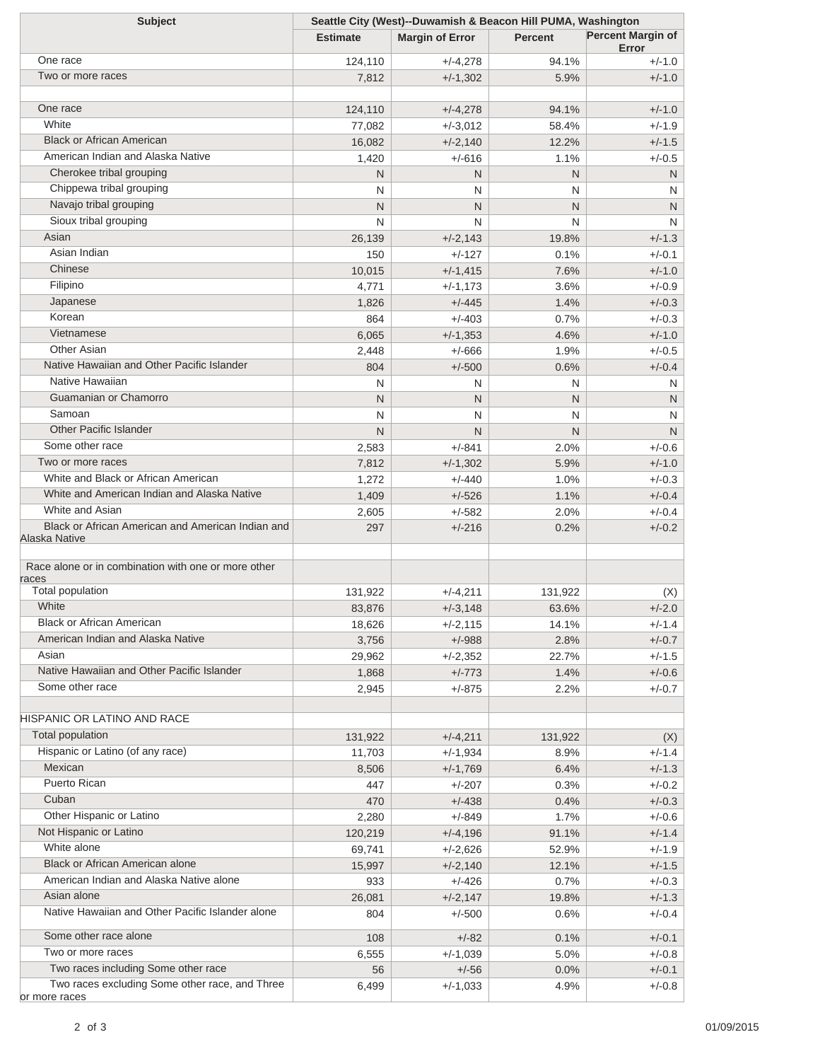| <b>Subject</b>                                      | Seattle City (West)--Duwamish & Beacon Hill PUMA, Washington |                        |                |                                   |
|-----------------------------------------------------|--------------------------------------------------------------|------------------------|----------------|-----------------------------------|
|                                                     | <b>Estimate</b>                                              | <b>Margin of Error</b> | <b>Percent</b> | <b>Percent Margin of</b><br>Error |
| One race                                            | 124,110                                                      | $+/-4,278$             | 94.1%          | $+/-1.0$                          |
| Two or more races                                   | 7,812                                                        | $+/-1,302$             | 5.9%           | $+/-1.0$                          |
|                                                     |                                                              |                        |                |                                   |
| One race                                            | 124,110                                                      | $+/-4,278$             | 94.1%          | $+/-1.0$                          |
| White                                               | 77,082                                                       | $+/-3,012$             | 58.4%          | $+/-1.9$                          |
| <b>Black or African American</b>                    | 16,082                                                       | $+/-2,140$             | 12.2%          | $+/-1.5$                          |
| American Indian and Alaska Native                   | 1,420                                                        | $+/-616$               | 1.1%           | $+/-0.5$                          |
| Cherokee tribal grouping                            | N                                                            | N.                     | N              | N                                 |
| Chippewa tribal grouping                            | N                                                            | N                      | N              | N                                 |
| Navajo tribal grouping                              | N                                                            | N.                     | N              | N                                 |
| Sioux tribal grouping                               | N                                                            | N                      | N              | N                                 |
| Asian                                               | 26,139                                                       | $+/-2,143$             | 19.8%          | $+/-1.3$                          |
| Asian Indian                                        | 150                                                          | $+/-127$               | 0.1%           | $+/-0.1$                          |
| Chinese                                             | 10,015                                                       | $+/-1,415$             | 7.6%           | $+/-1.0$                          |
| Filipino                                            | 4,771                                                        | $+/-1,173$             | 3.6%           | $+/-0.9$                          |
| Japanese                                            | 1,826                                                        | $+/-445$               | 1.4%           | $+/-0.3$                          |
| Korean                                              | 864                                                          | $+/-403$               | 0.7%           | $+/-0.3$                          |
| Vietnamese                                          | 6,065                                                        | $+/-1,353$             | 4.6%           | $+/-1.0$                          |
| Other Asian                                         | 2,448                                                        | $+/-666$               | 1.9%           | $+/-0.5$                          |
| Native Hawaiian and Other Pacific Islander          | 804                                                          | $+/-500$               | 0.6%           | $+/-0.4$                          |
| Native Hawaiian                                     | N                                                            | N                      | N              | N                                 |
| Guamanian or Chamorro                               | N                                                            | N.                     | N              | N                                 |
| Samoan                                              | N                                                            | $\mathsf{N}$           | N              | N                                 |
| <b>Other Pacific Islander</b>                       | N                                                            | N.                     | N              | N                                 |
| Some other race                                     | 2,583                                                        | $+/-841$               | 2.0%           | $+/-0.6$                          |
| Two or more races                                   | 7,812                                                        | $+/-1,302$             | 5.9%           | $+/-1.0$                          |
| White and Black or African American                 | 1,272                                                        | $+/-440$               | 1.0%           | $+/-0.3$                          |
| White and American Indian and Alaska Native         | 1,409                                                        | $+/-526$               | 1.1%           | $+/-0.4$                          |
| White and Asian                                     | 2,605                                                        | $+/-582$               | 2.0%           | $+/-0.4$                          |
| Black or African American and American Indian and   | 297                                                          | $+/-216$               | 0.2%           | $+/-0.2$                          |
| Alaska Native                                       |                                                              |                        |                |                                   |
| Race alone or in combination with one or more other |                                                              |                        |                |                                   |
| races                                               |                                                              |                        |                |                                   |
| Total population                                    | 131,922                                                      | $+/-4,211$             | 131,922        | (X)                               |
| White                                               | 83,876                                                       | $+/-3,148$             | 63.6%          | $+/-2.0$                          |
| <b>Black or African American</b>                    | 18,626                                                       | $+/-2,115$             | 14.1%          | $+/-1.4$                          |
| American Indian and Alaska Native                   | 3,756                                                        | $+/-988$               | 2.8%           | $+/-0.7$                          |
| Asian                                               | 29,962                                                       | $+/-2,352$             | 22.7%          | $+/-1.5$                          |
| Native Hawaiian and Other Pacific Islander          | 1,868                                                        | $+/-773$               | 1.4%           | $+/-0.6$                          |
| Some other race                                     | 2,945                                                        | $+/-875$               | 2.2%           | $+/-0.7$                          |
|                                                     |                                                              |                        |                |                                   |
| HISPANIC OR LATINO AND RACE                         |                                                              |                        |                |                                   |
| Total population                                    | 131,922                                                      | $+/-4,211$             | 131,922        | (X)                               |
| Hispanic or Latino (of any race)                    | 11,703                                                       | $+/-1,934$             | 8.9%           | $+/-1.4$                          |
| Mexican                                             | 8,506                                                        | $+/-1,769$             | 6.4%           | $+/-1.3$                          |
| <b>Puerto Rican</b>                                 | 447                                                          | $+/-207$               | 0.3%           | $+/-0.2$                          |
| Cuban                                               | 470                                                          | $+/-438$               | 0.4%           | $+/-0.3$                          |
| Other Hispanic or Latino                            | 2,280                                                        | $+/-849$               | 1.7%           | $+/-0.6$                          |
| Not Hispanic or Latino                              | 120,219                                                      | $+/-4,196$             | 91.1%          | $+/-1.4$                          |
| White alone                                         | 69,741                                                       | $+/-2,626$             | 52.9%          | $+/-1.9$                          |
| Black or African American alone                     | 15,997                                                       | $+/-2,140$             | 12.1%          | $+/-1.5$                          |
| American Indian and Alaska Native alone             | 933                                                          | $+/-426$               | 0.7%           | $+/-0.3$                          |
| Asian alone                                         | 26,081                                                       | $+/-2,147$             | 19.8%          | $+/-1.3$                          |
| Native Hawaiian and Other Pacific Islander alone    | 804                                                          | $+/-500$               | 0.6%           | $+/-0.4$                          |
| Some other race alone                               | 108                                                          | $+/-82$                | 0.1%           | $+/-0.1$                          |
| Two or more races                                   | 6,555                                                        | $+/-1,039$             | 5.0%           | $+/-0.8$                          |
| Two races including Some other race                 | 56                                                           | $+/-56$                | 0.0%           | $+/-0.1$                          |
| Two races excluding Some other race, and Three      | 6,499                                                        | $+/-1,033$             | 4.9%           | $+/-0.8$                          |
| or more races                                       |                                                              |                        |                |                                   |